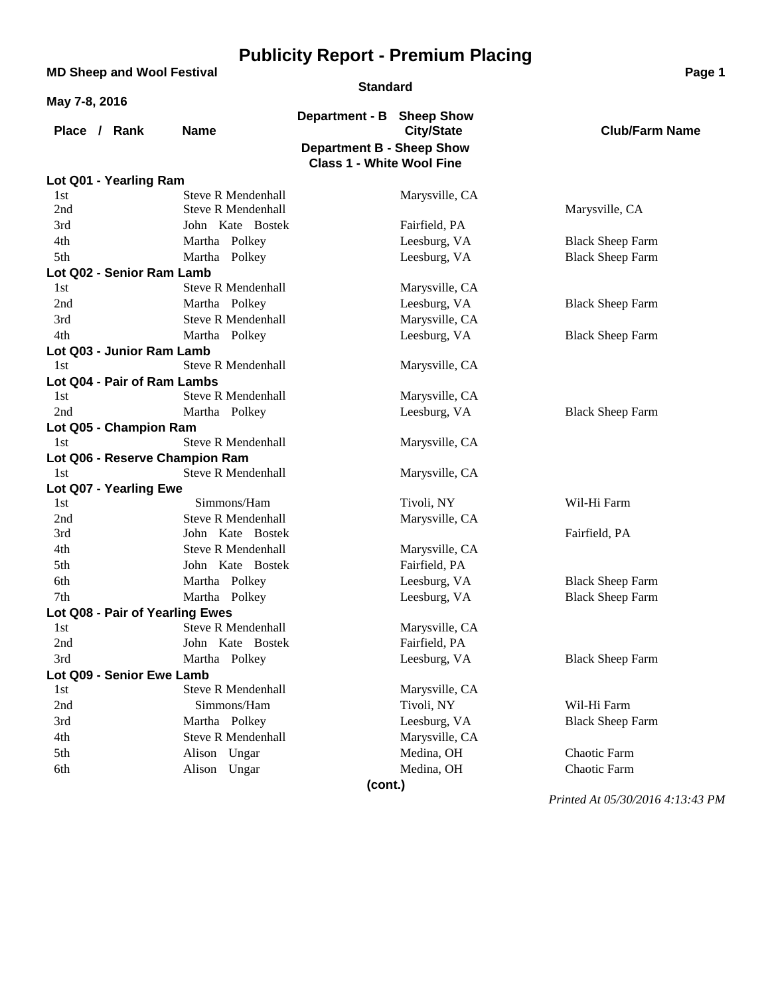|               | <b>MD Sheep and Wool Festival</b> |                                |                                  |                                | Page 1                           |
|---------------|-----------------------------------|--------------------------------|----------------------------------|--------------------------------|----------------------------------|
|               |                                   |                                | <b>Standard</b>                  |                                |                                  |
| May 7-8, 2016 |                                   |                                |                                  |                                |                                  |
|               | Place / Rank                      | <b>Name</b>                    | Department - B Sheep Show        | <b>City/State</b>              | <b>Club/Farm Name</b>            |
|               |                                   |                                | <b>Department B - Sheep Show</b> |                                |                                  |
|               |                                   |                                | <b>Class 1 - White Wool Fine</b> |                                |                                  |
|               | Lot Q01 - Yearling Ram            |                                |                                  |                                |                                  |
| 1st           |                                   | <b>Steve R Mendenhall</b>      |                                  | Marysville, CA                 |                                  |
| 2nd           |                                   | <b>Steve R Mendenhall</b>      |                                  |                                | Marysville, CA                   |
| 3rd           |                                   | John Kate Bostek               |                                  | Fairfield, PA                  |                                  |
| 4th           |                                   | Martha Polkey                  |                                  | Leesburg, VA                   | <b>Black Sheep Farm</b>          |
| 5th           |                                   | Martha Polkey                  |                                  | Leesburg, VA                   | <b>Black Sheep Farm</b>          |
| 1st           | Lot Q02 - Senior Ram Lamb         | <b>Steve R Mendenhall</b>      |                                  |                                |                                  |
| 2nd           |                                   | Martha Polkey                  |                                  | Marysville, CA<br>Leesburg, VA |                                  |
| 3rd           |                                   | <b>Steve R Mendenhall</b>      |                                  | Marysville, CA                 | <b>Black Sheep Farm</b>          |
| 4th           |                                   | Martha Polkey                  |                                  | Leesburg, VA                   | <b>Black Sheep Farm</b>          |
|               | Lot Q03 - Junior Ram Lamb         |                                |                                  |                                |                                  |
| 1st           |                                   | <b>Steve R Mendenhall</b>      |                                  | Marysville, CA                 |                                  |
|               | Lot Q04 - Pair of Ram Lambs       |                                |                                  |                                |                                  |
| 1st           |                                   | <b>Steve R Mendenhall</b>      |                                  | Marysville, CA                 |                                  |
| 2nd           |                                   | Martha Polkey                  |                                  | Leesburg, VA                   | <b>Black Sheep Farm</b>          |
|               | Lot Q05 - Champion Ram            |                                |                                  |                                |                                  |
| 1st           |                                   | <b>Steve R Mendenhall</b>      |                                  | Marysville, CA                 |                                  |
|               |                                   | Lot Q06 - Reserve Champion Ram |                                  |                                |                                  |
| 1st           |                                   | <b>Steve R Mendenhall</b>      |                                  | Marysville, CA                 |                                  |
|               | Lot Q07 - Yearling Ewe            |                                |                                  |                                |                                  |
| 1st           |                                   | Simmons/Ham                    |                                  | Tivoli, NY                     | Wil-Hi Farm                      |
| 2nd           |                                   | <b>Steve R Mendenhall</b>      |                                  | Marysville, CA                 |                                  |
| 3rd           |                                   | John Kate Bostek               |                                  |                                | Fairfield, PA                    |
| 4th           |                                   | <b>Steve R Mendenhall</b>      |                                  | Marysville, CA                 |                                  |
| 5th           |                                   | John Kate Bostek               |                                  | Fairfield, PA                  |                                  |
| 6th           |                                   | Martha Polkey                  |                                  | Leesburg, VA                   | <b>Black Sheep Farm</b>          |
| 7th           |                                   | Martha Polkey                  |                                  | Leesburg, VA                   | <b>Black Sheep Farm</b>          |
|               | Lot Q08 - Pair of Yearling Ewes   |                                |                                  |                                |                                  |
| 1st           |                                   | Steve R Mendenhall             |                                  | Marysville, CA                 |                                  |
| 2nd           |                                   | John Kate Bostek               |                                  | Fairfield, PA                  |                                  |
| 3rd           |                                   | Martha Polkey                  |                                  | Leesburg, VA                   | <b>Black Sheep Farm</b>          |
| 1st           | Lot Q09 - Senior Ewe Lamb         | <b>Steve R Mendenhall</b>      |                                  | Marysville, CA                 |                                  |
| 2nd           |                                   | Simmons/Ham                    |                                  | Tivoli, NY                     | Wil-Hi Farm                      |
| 3rd           |                                   | Martha Polkey                  |                                  | Leesburg, VA                   | <b>Black Sheep Farm</b>          |
| 4th           |                                   | <b>Steve R Mendenhall</b>      |                                  | Marysville, CA                 |                                  |
| 5th           |                                   | Alison Ungar                   |                                  | Medina, OH                     | Chaotic Farm                     |
| 6th           |                                   | Alison Ungar                   |                                  | Medina, OH                     | Chaotic Farm                     |
|               |                                   |                                | (cont.)                          |                                |                                  |
|               |                                   |                                |                                  |                                | Printed At 05/30/2016 4:13:43 PM |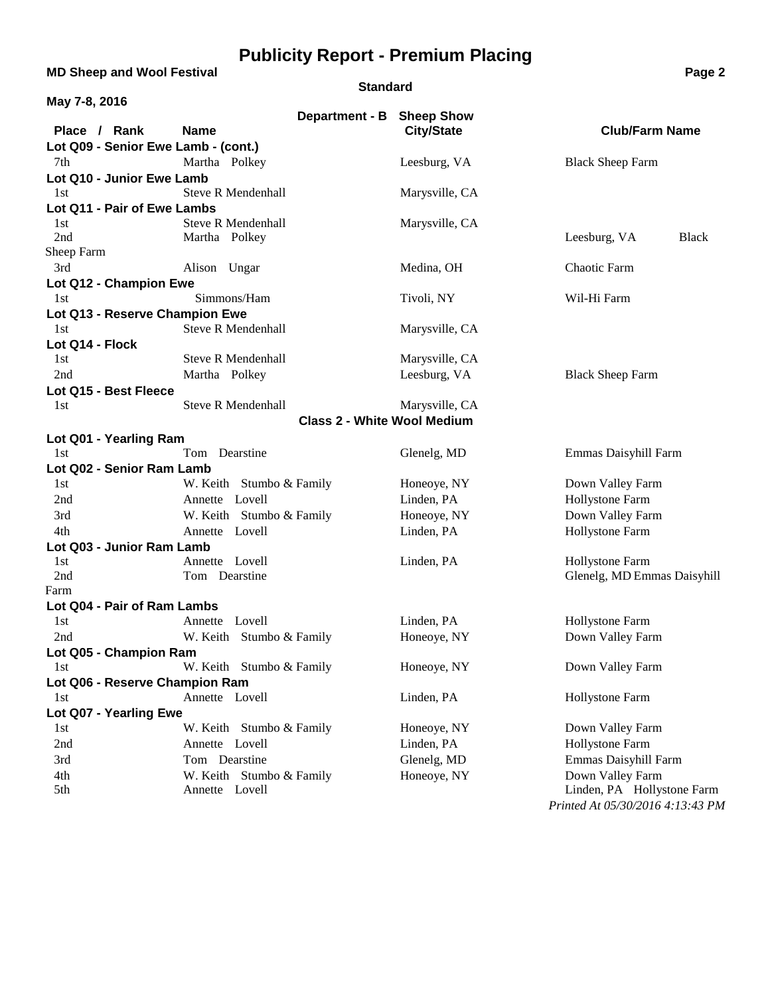**MD Sheep and Wool Festival <b>Page 2 Page 2** 

#### **Standard**

| May 7-8, 2016                       |                                          |                   |                                                |
|-------------------------------------|------------------------------------------|-------------------|------------------------------------------------|
| Place / Rank                        | Department - B Sheep Show<br><b>Name</b> | <b>City/State</b> | <b>Club/Farm Name</b>                          |
| Lot Q09 - Senior Ewe Lamb - (cont.) |                                          |                   |                                                |
| 7th                                 | Martha Polkey                            | Leesburg, VA      | <b>Black Sheep Farm</b>                        |
| Lot Q10 - Junior Ewe Lamb           |                                          |                   |                                                |
| 1st                                 | <b>Steve R Mendenhall</b>                | Marysville, CA    |                                                |
| Lot Q11 - Pair of Ewe Lambs         |                                          |                   |                                                |
| 1st                                 | <b>Steve R Mendenhall</b>                | Marysville, CA    |                                                |
| 2nd                                 | Martha Polkey                            |                   | Leesburg, VA<br><b>Black</b>                   |
| Sheep Farm                          |                                          |                   |                                                |
| 3rd                                 | Alison Ungar                             | Medina, OH        | Chaotic Farm                                   |
| Lot Q12 - Champion Ewe              |                                          |                   |                                                |
| 1st                                 | Simmons/Ham                              | Tivoli, NY        | Wil-Hi Farm                                    |
| Lot Q13 - Reserve Champion Ewe      |                                          |                   |                                                |
| 1st                                 | <b>Steve R Mendenhall</b>                | Marysville, CA    |                                                |
| Lot Q14 - Flock                     |                                          |                   |                                                |
| 1st                                 | <b>Steve R Mendenhall</b>                | Marysville, CA    |                                                |
| 2nd                                 | Martha Polkey                            | Leesburg, VA      | <b>Black Sheep Farm</b>                        |
| Lot Q15 - Best Fleece               |                                          |                   |                                                |
| 1st                                 | <b>Steve R Mendenhall</b>                | Marysville, CA    |                                                |
|                                     | <b>Class 2 - White Wool Medium</b>       |                   |                                                |
| Lot Q01 - Yearling Ram              |                                          |                   |                                                |
| 1st                                 | Tom Dearstine                            | Glenelg, MD       | Emmas Daisyhill Farm                           |
| Lot Q02 - Senior Ram Lamb           |                                          |                   |                                                |
| 1st                                 | W. Keith Stumbo & Family                 | Honeoye, NY       | Down Valley Farm                               |
| 2nd                                 | Annette Lovell                           | Linden, PA        | Hollystone Farm                                |
| 3rd                                 | W. Keith Stumbo & Family                 | Honeoye, NY       | Down Valley Farm                               |
| 4th                                 | Annette Lovell                           | Linden, PA        | Hollystone Farm                                |
| Lot Q03 - Junior Ram Lamb           |                                          |                   |                                                |
| 1st<br>2nd                          | Annette Lovell<br>Tom Dearstine          | Linden, PA        | Hollystone Farm<br>Glenelg, MD Emmas Daisyhill |
| Farm                                |                                          |                   |                                                |
| Lot Q04 - Pair of Ram Lambs         |                                          |                   |                                                |
| 1st                                 | Annette Lovell                           | Linden, PA        | Hollystone Farm                                |
| 2nd                                 | W. Keith Stumbo & Family                 | Honeoye, NY       | Down Valley Farm                               |
| Lot Q05 - Champion Ram              |                                          |                   |                                                |
| 1st                                 | W. Keith Stumbo & Family                 | Honeoye, NY       | Down Valley Farm                               |
| Lot Q06 - Reserve Champion Ram      |                                          |                   |                                                |
| 1st                                 | Annette Lovell                           | Linden, PA        | Hollystone Farm                                |
| Lot Q07 - Yearling Ewe              |                                          |                   |                                                |
| 1st                                 | W. Keith Stumbo & Family                 | Honeoye, NY       | Down Valley Farm                               |
| 2nd                                 | Annette Lovell                           | Linden, PA        | Hollystone Farm                                |
| 3rd                                 | Tom Dearstine                            | Glenelg, MD       | Emmas Daisyhill Farm                           |
| 4th                                 | W. Keith Stumbo & Family                 | Honeoye, NY       | Down Valley Farm                               |
| 5th                                 | Annette Lovell                           |                   | Linden, PA Hollystone Farm                     |
|                                     |                                          |                   | Printed At 05/30/2016 4:13:43 PM               |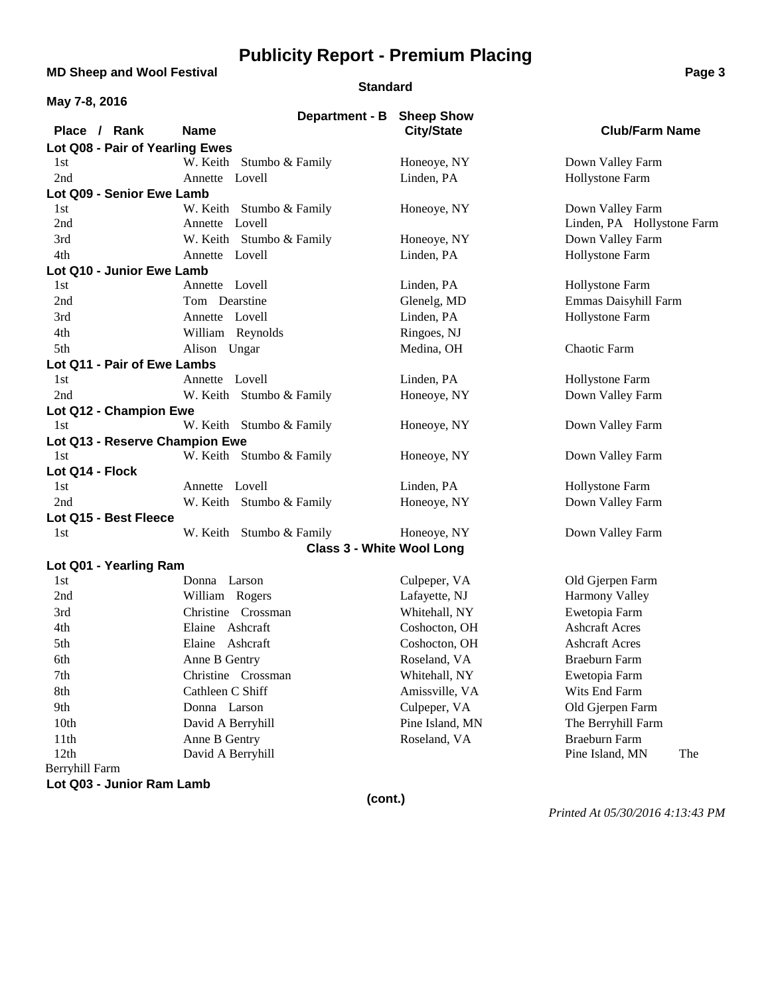**MD Sheep and Wool Festival <b>Page 3 Page 3** 

#### **Standard**

| May 7-8, 2016                   |                               |                                        |                            |
|---------------------------------|-------------------------------|----------------------------------------|----------------------------|
| Place / Rank                    | Department - B<br><b>Name</b> | <b>Sheep Show</b><br><b>City/State</b> | <b>Club/Farm Name</b>      |
| Lot Q08 - Pair of Yearling Ewes |                               |                                        |                            |
| 1st                             | W. Keith Stumbo & Family      | Honeoye, NY                            | Down Valley Farm           |
| 2nd                             | Annette Lovell                | Linden, PA                             | Hollystone Farm            |
| Lot Q09 - Senior Ewe Lamb       |                               |                                        |                            |
| 1st                             | W. Keith Stumbo & Family      | Honeoye, NY                            | Down Valley Farm           |
| 2nd                             | Annette Lovell                |                                        | Linden, PA Hollystone Farm |
| 3rd                             | W. Keith Stumbo & Family      | Honeoye, NY                            | Down Valley Farm           |
| 4th                             | Annette Lovell                | Linden, PA                             | Hollystone Farm            |
| Lot Q10 - Junior Ewe Lamb       |                               |                                        |                            |
| 1st                             | Annette Lovell                | Linden, PA                             | Hollystone Farm            |
| 2nd                             | Tom Dearstine                 | Glenelg, MD                            | Emmas Daisyhill Farm       |
| 3rd                             | Annette Lovell                | Linden, PA                             | Hollystone Farm            |
| 4th                             | William Reynolds              | Ringoes, NJ                            |                            |
| 5th                             | Alison Ungar                  | Medina, OH                             | Chaotic Farm               |
| Lot Q11 - Pair of Ewe Lambs     |                               |                                        |                            |
| 1st                             | Annette Lovell                | Linden, PA                             | Hollystone Farm            |
| 2nd                             | W. Keith Stumbo & Family      | Honeoye, NY                            | Down Valley Farm           |
| Lot Q12 - Champion Ewe          |                               |                                        |                            |
| 1st                             | W. Keith Stumbo & Family      | Honeoye, NY                            | Down Valley Farm           |
| Lot Q13 - Reserve Champion Ewe  |                               |                                        |                            |
| 1st                             | W. Keith Stumbo & Family      | Honeoye, NY                            | Down Valley Farm           |
| Lot Q14 - Flock                 |                               |                                        |                            |
| 1st                             | Annette Lovell                | Linden, PA                             | Hollystone Farm            |
| 2nd                             | W. Keith Stumbo & Family      | Honeoye, NY                            | Down Valley Farm           |
| Lot Q15 - Best Fleece           |                               |                                        |                            |
| 1st                             | W. Keith Stumbo & Family      | Honeoye, NY                            | Down Valley Farm           |
|                                 |                               | <b>Class 3 - White Wool Long</b>       |                            |
| Lot Q01 - Yearling Ram          |                               |                                        |                            |
| 1st                             | Donna Larson                  | Culpeper, VA                           | Old Gjerpen Farm           |
| 2nd                             | William Rogers                | Lafayette, NJ                          | Harmony Valley             |
| 3rd                             | Christine Crossman            | Whitehall, NY                          | Ewetopia Farm              |
| 4th                             | Elaine Ashcraft               | Coshocton, OH                          | <b>Ashcraft Acres</b>      |
| 5th                             | Elaine Ashcraft               | Coshocton, OH                          | <b>Ashcraft Acres</b>      |
| 6th                             | Anne B Gentry                 | Roseland, VA                           | Braeburn Farm              |
| 7th                             | Christine Crossman            | Whitehall, NY                          | Ewetopia Farm              |
| 8th                             | Cathleen C Shiff              | Amissville, VA                         | Wits End Farm              |
| 9th                             | Donna Larson                  | Culpeper, VA                           | Old Gjerpen Farm           |
| 10th                            | David A Berryhill             | Pine Island, MN                        | The Berryhill Farm         |
| 11th                            | Anne B Gentry                 | Roseland, VA                           | <b>Braeburn Farm</b>       |
| 12th                            | David A Berryhill             |                                        | Pine Island, MN<br>The     |
| Berryhill Farm                  |                               |                                        |                            |

**Lot Q03 - Junior Ram Lamb**

**(cont.)**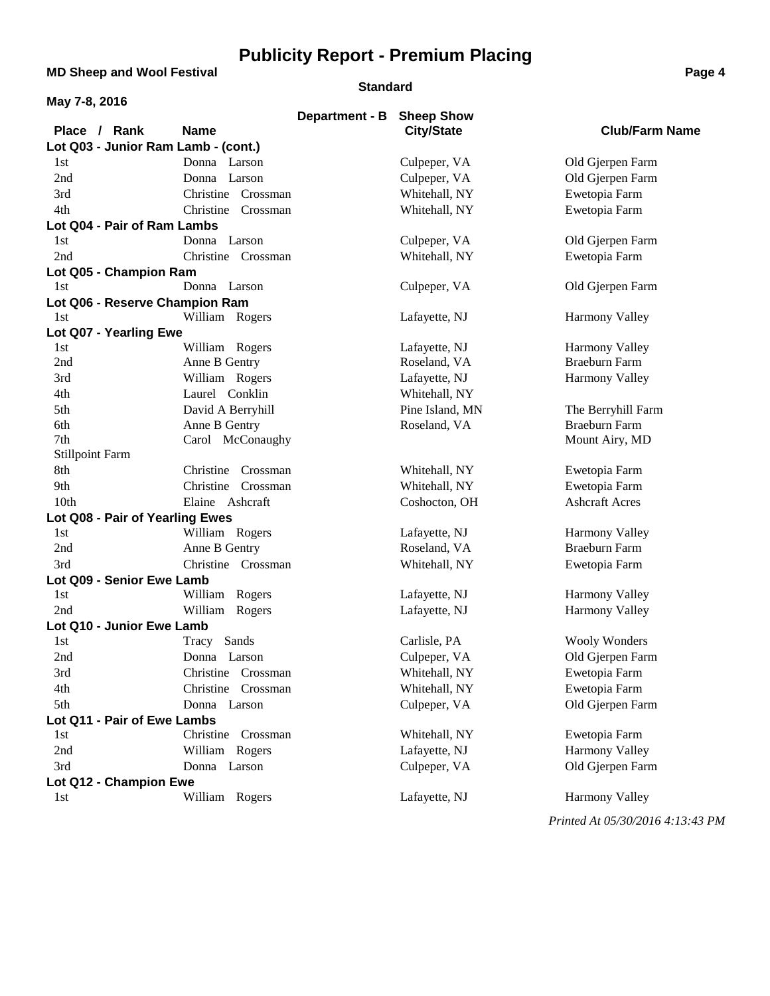**MD Sheep and Wool Festival <b>Page 4 Page 4** 

#### **Standard**

| May 7-8, 2016                       |                       |                                |                                               |
|-------------------------------------|-----------------------|--------------------------------|-----------------------------------------------|
|                                     | Department - B        | <b>Sheep Show</b>              |                                               |
| Place / Rank                        | <b>Name</b>           | <b>City/State</b>              | <b>Club/Farm Name</b>                         |
| Lot Q03 - Junior Ram Lamb - (cont.) |                       |                                |                                               |
| 1st                                 | Donna Larson          | Culpeper, VA                   | Old Gjerpen Farm                              |
| 2nd                                 | Donna Larson          | Culpeper, VA                   | Old Gjerpen Farm                              |
| 3rd                                 | Christine Crossman    | Whitehall, NY                  | Ewetopia Farm                                 |
| 4th                                 | Christine Crossman    | Whitehall, NY                  | Ewetopia Farm                                 |
| Lot Q04 - Pair of Ram Lambs         |                       |                                |                                               |
| 1st                                 | Donna Larson          | Culpeper, VA                   | Old Gjerpen Farm                              |
| 2nd                                 | Christine Crossman    | Whitehall, NY                  | Ewetopia Farm                                 |
| Lot Q05 - Champion Ram              |                       |                                |                                               |
| 1st                                 | Donna Larson          | Culpeper, VA                   | Old Gjerpen Farm                              |
| Lot Q06 - Reserve Champion Ram      |                       |                                |                                               |
| 1st                                 | William Rogers        | Lafayette, NJ                  | <b>Harmony Valley</b>                         |
| Lot Q07 - Yearling Ewe              |                       |                                |                                               |
| 1st                                 | William Rogers        | Lafayette, NJ                  | Harmony Valley                                |
| 2nd                                 | Anne B Gentry         | Roseland, VA                   | Braeburn Farm                                 |
| 3rd                                 | William Rogers        | Lafayette, NJ                  | <b>Harmony Valley</b>                         |
| 4th                                 | Laurel Conklin        | Whitehall, NY                  |                                               |
| 5th                                 | David A Berryhill     | Pine Island, MN                | The Berryhill Farm                            |
| 6th                                 | Anne B Gentry         | Roseland, VA                   | <b>Braeburn Farm</b>                          |
| 7th                                 | Carol McConaughy      |                                | Mount Airy, MD                                |
| <b>Stillpoint Farm</b>              |                       |                                |                                               |
| 8th                                 | Christine<br>Crossman | Whitehall, NY                  | Ewetopia Farm                                 |
| 9th                                 | Christine<br>Crossman | Whitehall, NY                  | Ewetopia Farm                                 |
| 10th                                | Elaine Ashcraft       | Coshocton, OH                  | <b>Ashcraft Acres</b>                         |
| Lot Q08 - Pair of Yearling Ewes     |                       |                                |                                               |
| 1st                                 | William Rogers        | Lafayette, NJ                  | <b>Harmony Valley</b><br><b>Braeburn Farm</b> |
| 2nd                                 | Anne B Gentry         | Roseland, VA                   |                                               |
| 3rd                                 | Christine Crossman    | Whitehall, NY                  | Ewetopia Farm                                 |
| Lot Q09 - Senior Ewe Lamb<br>1st    | William Rogers        |                                | <b>Harmony Valley</b>                         |
| 2nd                                 |                       | Lafayette, NJ<br>Lafayette, NJ | Harmony Valley                                |
| Lot Q10 - Junior Ewe Lamb           | William Rogers        |                                |                                               |
| 1st                                 | Tracy Sands           | Carlisle, PA                   | <b>Wooly Wonders</b>                          |
| 2nd                                 | Donna Larson          | Culpeper, VA                   | Old Gjerpen Farm                              |
| 3rd                                 | Christine Crossman    | Whitehall, NY                  | Ewetopia Farm                                 |
| 4th                                 | Christine Crossman    | Whitehall, NY                  | Ewetopia Farm                                 |
| 5th                                 | Donna Larson          | Culpeper, VA                   | Old Gjerpen Farm                              |
| Lot Q11 - Pair of Ewe Lambs         |                       |                                |                                               |
| 1st                                 | Christine Crossman    | Whitehall, NY                  | Ewetopia Farm                                 |
| 2nd                                 | William Rogers        | Lafayette, NJ                  | Harmony Valley                                |
| 3rd                                 | Donna Larson          | Culpeper, VA                   | Old Gjerpen Farm                              |
| Lot Q12 - Champion Ewe              |                       |                                |                                               |
| 1st                                 | William Rogers        | Lafayette, NJ                  | <b>Harmony Valley</b>                         |
|                                     |                       |                                |                                               |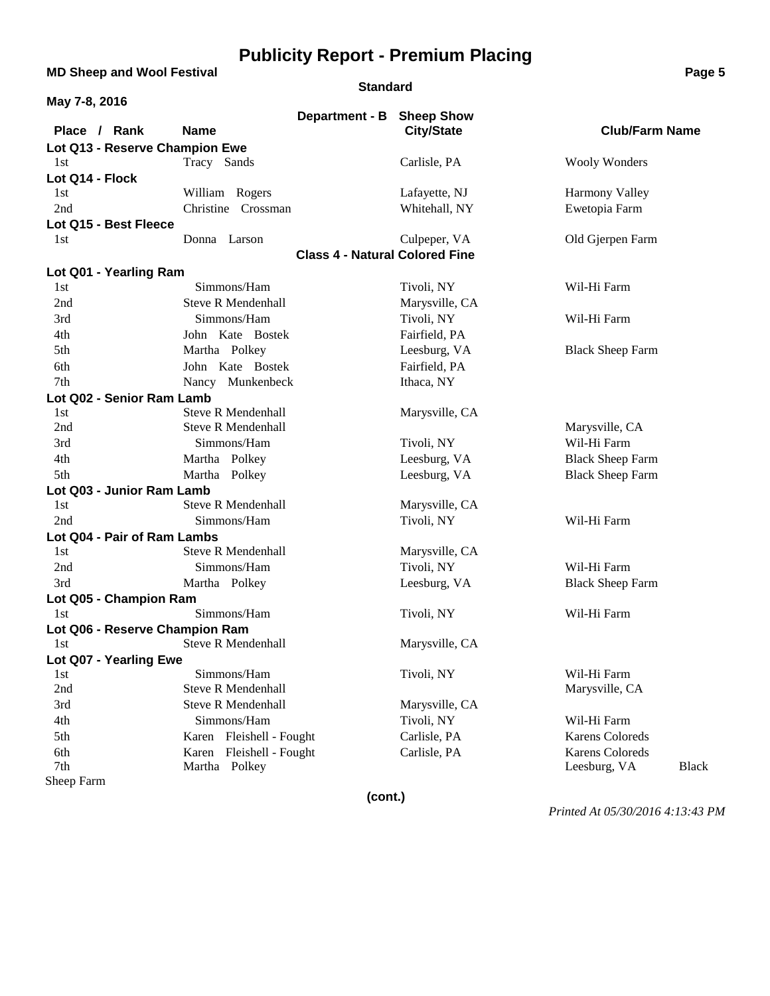**MD Sheep and Wool Festival <b>Page 5 Page 5 Page 5** 

#### **Standard**

| May 7-8, 2016                  |                           |                |                                       |                              |
|--------------------------------|---------------------------|----------------|---------------------------------------|------------------------------|
|                                |                           | Department - B | <b>Sheep Show</b>                     |                              |
| Place / Rank                   | <b>Name</b>               |                | <b>City/State</b>                     | <b>Club/Farm Name</b>        |
| Lot Q13 - Reserve Champion Ewe |                           |                |                                       |                              |
| 1st                            | Tracy Sands               |                | Carlisle, PA                          | <b>Wooly Wonders</b>         |
| Lot Q14 - Flock                |                           |                |                                       |                              |
| 1st                            | William Rogers            |                | Lafayette, NJ                         | Harmony Valley               |
| 2nd                            | Christine Crossman        |                | Whitehall, NY                         | Ewetopia Farm                |
| Lot Q15 - Best Fleece          |                           |                |                                       |                              |
| 1st                            | Donna Larson              |                | Culpeper, VA                          | Old Gjerpen Farm             |
|                                |                           |                | <b>Class 4 - Natural Colored Fine</b> |                              |
| Lot Q01 - Yearling Ram         |                           |                |                                       |                              |
| 1st                            | Simmons/Ham               |                | Tivoli, NY                            | Wil-Hi Farm                  |
| 2nd                            | <b>Steve R Mendenhall</b> |                | Marysville, CA                        |                              |
| 3rd                            | Simmons/Ham               |                | Tivoli, NY                            | Wil-Hi Farm                  |
| 4th                            | John Kate Bostek          |                | Fairfield, PA                         |                              |
| 5th                            | Martha Polkey             |                | Leesburg, VA                          | <b>Black Sheep Farm</b>      |
| 6th                            | John Kate Bostek          |                | Fairfield, PA                         |                              |
| 7th                            | Nancy Munkenbeck          |                | Ithaca, NY                            |                              |
| Lot Q02 - Senior Ram Lamb      |                           |                |                                       |                              |
| 1st                            | <b>Steve R Mendenhall</b> |                | Marysville, CA                        |                              |
| 2nd                            | <b>Steve R Mendenhall</b> |                |                                       | Marysville, CA               |
| 3rd                            | Simmons/Ham               |                | Tivoli, NY                            | Wil-Hi Farm                  |
| 4th                            | Martha Polkey             |                | Leesburg, VA                          | <b>Black Sheep Farm</b>      |
| 5th                            | Martha Polkey             |                | Leesburg, VA                          | <b>Black Sheep Farm</b>      |
| Lot Q03 - Junior Ram Lamb      |                           |                |                                       |                              |
| 1st                            | <b>Steve R Mendenhall</b> |                | Marysville, CA                        |                              |
| 2nd                            | Simmons/Ham               |                | Tivoli, NY                            | Wil-Hi Farm                  |
| Lot Q04 - Pair of Ram Lambs    |                           |                |                                       |                              |
| 1st                            | <b>Steve R Mendenhall</b> |                | Marysville, CA                        |                              |
| 2nd                            | Simmons/Ham               |                | Tivoli, NY                            | Wil-Hi Farm                  |
| 3rd                            | Martha Polkey             |                | Leesburg, VA                          | <b>Black Sheep Farm</b>      |
| Lot Q05 - Champion Ram         |                           |                |                                       |                              |
| 1st                            | Simmons/Ham               |                | Tivoli, NY                            | Wil-Hi Farm                  |
| Lot Q06 - Reserve Champion Ram |                           |                |                                       |                              |
| 1st                            | <b>Steve R Mendenhall</b> |                | Marysville, CA                        |                              |
| Lot Q07 - Yearling Ewe         |                           |                |                                       |                              |
| 1st                            | Simmons/Ham               |                | Tivoli, NY                            | Wil-Hi Farm                  |
| 2nd                            | <b>Steve R Mendenhall</b> |                |                                       | Marysville, CA               |
| 3rd                            | <b>Steve R Mendenhall</b> |                | Marysville, CA                        |                              |
| 4th                            | Simmons/Ham               |                | Tivoli, NY                            | Wil-Hi Farm                  |
| 5th                            | Karen Fleishell - Fought  |                | Carlisle, PA                          | <b>Karens Coloreds</b>       |
| 6th                            | Karen Fleishell - Fought  |                | Carlisle, PA                          | <b>Karens Coloreds</b>       |
| 7th                            | Martha Polkey             |                |                                       | Leesburg, VA<br><b>Black</b> |
| Sheep Farm                     |                           |                |                                       |                              |
|                                |                           | (cont.)        |                                       |                              |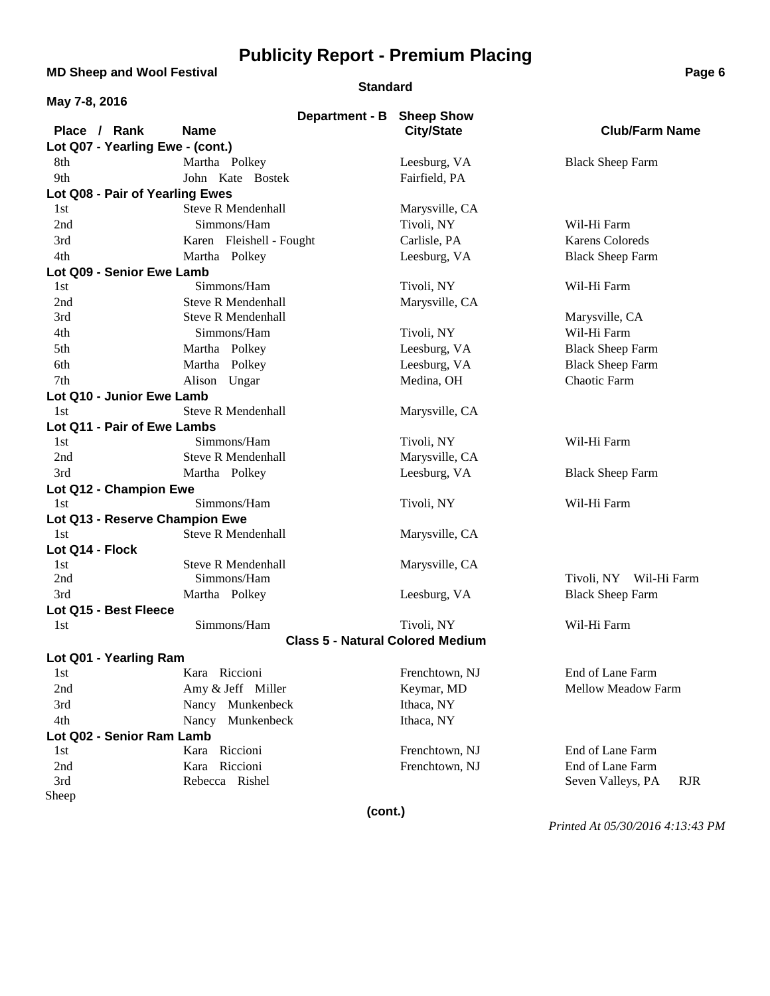**MD Sheep and Wool Festival <b>Page 6 Page 6** 

#### **Standard**

| May 7-8, 2016                    |                                         |                   |                                 |
|----------------------------------|-----------------------------------------|-------------------|---------------------------------|
|                                  | Department - B Sheep Show               |                   |                                 |
| Place / Rank                     | <b>Name</b>                             | <b>City/State</b> | <b>Club/Farm Name</b>           |
| Lot Q07 - Yearling Ewe - (cont.) |                                         |                   |                                 |
| 8th                              | Martha Polkey                           | Leesburg, VA      | <b>Black Sheep Farm</b>         |
| 9th                              | John Kate Bostek                        | Fairfield, PA     |                                 |
| Lot Q08 - Pair of Yearling Ewes  |                                         |                   |                                 |
| 1st                              | <b>Steve R Mendenhall</b>               | Marysville, CA    |                                 |
| 2nd                              | Simmons/Ham                             | Tivoli, NY        | Wil-Hi Farm                     |
| 3rd                              | Karen Fleishell - Fought                | Carlisle, PA      | <b>Karens Coloreds</b>          |
| 4th                              | Martha Polkey                           | Leesburg, VA      | <b>Black Sheep Farm</b>         |
| Lot Q09 - Senior Ewe Lamb        |                                         |                   |                                 |
| 1st                              | Simmons/Ham                             | Tivoli, NY        | Wil-Hi Farm                     |
| 2nd                              | <b>Steve R Mendenhall</b>               | Marysville, CA    |                                 |
| 3rd                              | <b>Steve R Mendenhall</b>               |                   | Marysville, CA                  |
| 4th                              | Simmons/Ham                             | Tivoli, NY        | Wil-Hi Farm                     |
| 5th                              | Martha Polkey                           | Leesburg, VA      | <b>Black Sheep Farm</b>         |
| 6th                              | Martha Polkey                           | Leesburg, VA      | <b>Black Sheep Farm</b>         |
| 7th                              | Alison Ungar                            | Medina, OH        | Chaotic Farm                    |
| Lot Q10 - Junior Ewe Lamb        |                                         |                   |                                 |
| 1st                              | <b>Steve R Mendenhall</b>               | Marysville, CA    |                                 |
| Lot Q11 - Pair of Ewe Lambs      |                                         |                   |                                 |
| 1st                              | Simmons/Ham                             | Tivoli, NY        | Wil-Hi Farm                     |
| 2nd                              | <b>Steve R Mendenhall</b>               | Marysville, CA    |                                 |
| 3rd                              | Martha Polkey                           | Leesburg, VA      | <b>Black Sheep Farm</b>         |
| Lot Q12 - Champion Ewe           |                                         |                   |                                 |
| 1st                              | Simmons/Ham                             | Tivoli, NY        | Wil-Hi Farm                     |
| Lot Q13 - Reserve Champion Ewe   |                                         |                   |                                 |
| 1st                              | <b>Steve R Mendenhall</b>               | Marysville, CA    |                                 |
| Lot Q14 - Flock                  |                                         |                   |                                 |
| 1st                              | <b>Steve R Mendenhall</b>               | Marysville, CA    |                                 |
| 2nd                              | Simmons/Ham                             |                   | Tivoli, NY Wil-Hi Farm          |
| 3rd                              | Martha Polkey                           | Leesburg, VA      | <b>Black Sheep Farm</b>         |
| Lot Q15 - Best Fleece            |                                         |                   |                                 |
| 1st                              | Simmons/Ham                             | Tivoli, NY        | Wil-Hi Farm                     |
|                                  | <b>Class 5 - Natural Colored Medium</b> |                   |                                 |
| Lot Q01 - Yearling Ram           |                                         |                   |                                 |
| 1st                              | Kara Riccioni                           | Frenchtown, NJ    | End of Lane Farm                |
| 2nd                              | Amy & Jeff Miller                       | Keymar, MD        | <b>Mellow Meadow Farm</b>       |
| 3rd                              | Nancy Munkenbeck                        | Ithaca, NY        |                                 |
| 4th                              | Nancy Munkenbeck                        | Ithaca, NY        |                                 |
| Lot Q02 - Senior Ram Lamb        |                                         |                   |                                 |
| 1st                              | Kara Riccioni                           | Frenchtown, NJ    | End of Lane Farm                |
| 2nd                              | Kara Riccioni                           | Frenchtown, NJ    | End of Lane Farm                |
| 3rd                              | Rebecca Rishel                          |                   | <b>RJR</b><br>Seven Valleys, PA |
| Sheep                            |                                         |                   |                                 |
|                                  | (cont.)                                 |                   |                                 |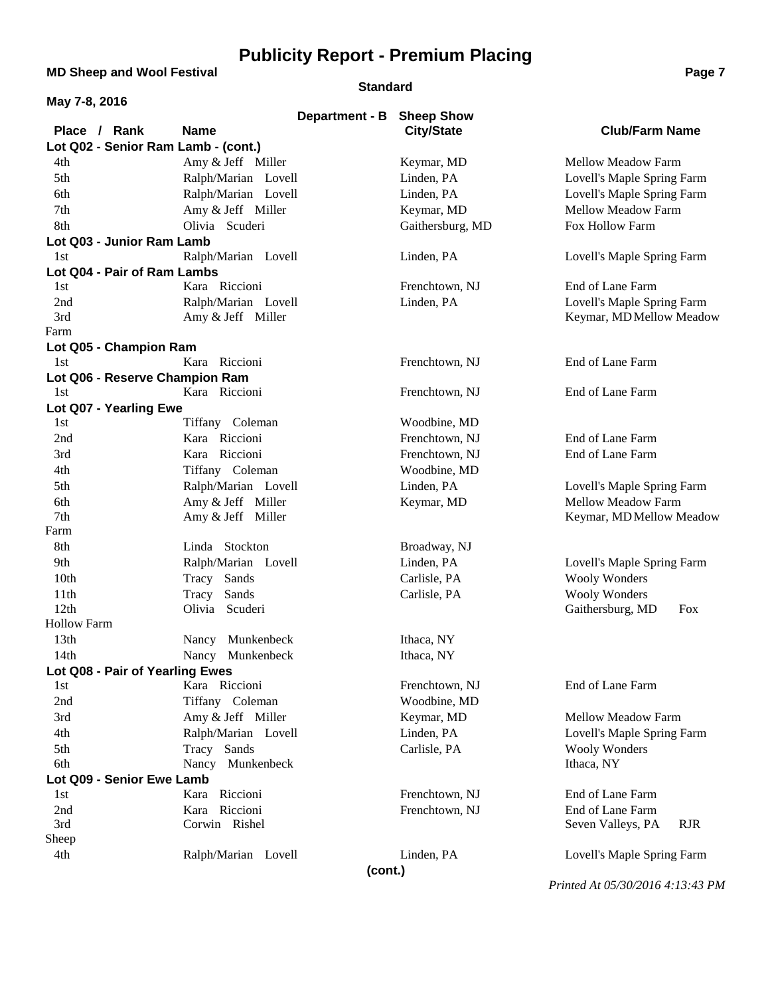**MD Sheep and Wool Festival <b>Page 7 Page 7 Page 7 Page 7 Page 7** 

#### **Standard**

| aae |  |
|-----|--|
|     |  |

| May 7-8, 2016                       |                               |                   |                                                        |
|-------------------------------------|-------------------------------|-------------------|--------------------------------------------------------|
|                                     | Department - B                | <b>Sheep Show</b> |                                                        |
| Place / Rank                        | <b>Name</b>                   | <b>City/State</b> | <b>Club/Farm Name</b>                                  |
| Lot Q02 - Senior Ram Lamb - (cont.) |                               |                   |                                                        |
| 4th                                 | Amy & Jeff Miller             | Keymar, MD        | Mellow Meadow Farm                                     |
| 5th                                 | Ralph/Marian Lovell           | Linden, PA        | Lovell's Maple Spring Farm                             |
| 6th                                 | Ralph/Marian Lovell           | Linden, PA        | Lovell's Maple Spring Farm                             |
| 7th                                 | Amy & Jeff Miller             | Keymar, MD        | Mellow Meadow Farm                                     |
| 8th                                 | Olivia Scuderi                | Gaithersburg, MD  | Fox Hollow Farm                                        |
| Lot Q03 - Junior Ram Lamb           |                               |                   |                                                        |
| 1st                                 | Ralph/Marian Lovell           | Linden, PA        | Lovell's Maple Spring Farm                             |
| Lot Q04 - Pair of Ram Lambs         |                               |                   |                                                        |
| 1st                                 | Kara Riccioni                 | Frenchtown, NJ    | End of Lane Farm                                       |
| 2nd                                 | Ralph/Marian Lovell           | Linden, PA        | Lovell's Maple Spring Farm                             |
| 3rd                                 | Amy & Jeff Miller             |                   | Keymar, MD Mellow Meadow                               |
| Farm                                |                               |                   |                                                        |
| Lot Q05 - Champion Ram              |                               |                   |                                                        |
| 1st                                 | Kara Riccioni                 | Frenchtown, NJ    | End of Lane Farm                                       |
| Lot Q06 - Reserve Champion Ram      |                               |                   |                                                        |
| 1st                                 | Kara Riccioni                 | Frenchtown, NJ    | End of Lane Farm                                       |
| Lot Q07 - Yearling Ewe              |                               |                   |                                                        |
| 1st                                 | Tiffany Coleman               | Woodbine, MD      |                                                        |
| 2nd                                 | Kara Riccioni                 | Frenchtown, NJ    | End of Lane Farm                                       |
| 3rd                                 | Kara Riccioni                 | Frenchtown, NJ    | End of Lane Farm                                       |
| 4th                                 | Tiffany Coleman               | Woodbine, MD      |                                                        |
| 5th                                 | Ralph/Marian Lovell           | Linden, PA        | Lovell's Maple Spring Farm                             |
| 6th                                 | Amy & Jeff Miller             | Keymar, MD        | Mellow Meadow Farm                                     |
| 7th<br>Farm                         | Amy & Jeff Miller             |                   | Keymar, MD Mellow Meadow                               |
|                                     |                               |                   |                                                        |
| 8th                                 | Linda Stockton                | Broadway, NJ      |                                                        |
| 9th<br>10th                         | Ralph/Marian Lovell           | Linden, PA        | Lovell's Maple Spring Farm                             |
|                                     | Tracy Sands                   | Carlisle, PA      | <b>Wooly Wonders</b>                                   |
| 11th<br>12th                        | Tracy Sands<br>Olivia Scuderi | Carlisle, PA      | <b>Wooly Wonders</b><br>Gaithersburg, MD<br><b>Fox</b> |
| <b>Hollow Farm</b>                  |                               |                   |                                                        |
| 13 <sub>th</sub>                    | Nancy Munkenbeck              | Ithaca, NY        |                                                        |
| 14th                                | Nancy Munkenbeck              | Ithaca, NY        |                                                        |
| Lot Q08 - Pair of Yearling Ewes     |                               |                   |                                                        |
| 1st                                 | Kara Riccioni                 | Frenchtown, NJ    | End of Lane Farm                                       |
| 2nd                                 | Tiffany Coleman               | Woodbine, MD      |                                                        |
| 3rd                                 | Amy & Jeff Miller             | Keymar, MD        | Mellow Meadow Farm                                     |
| 4th                                 | Ralph/Marian Lovell           | Linden, PA        | Lovell's Maple Spring Farm                             |
| 5th                                 | Tracy Sands                   | Carlisle, PA      | <b>Wooly Wonders</b>                                   |
| 6th                                 | Nancy Munkenbeck              |                   | Ithaca, NY                                             |
| Lot Q09 - Senior Ewe Lamb           |                               |                   |                                                        |
| 1st                                 | Kara Riccioni                 | Frenchtown, NJ    | End of Lane Farm                                       |
| 2nd                                 | Kara Riccioni                 | Frenchtown, NJ    | End of Lane Farm                                       |
| 3rd                                 | Corwin Rishel                 |                   | Seven Valleys, PA<br><b>RJR</b>                        |
| Sheep                               |                               |                   |                                                        |
| 4th                                 | Ralph/Marian Lovell           | Linden, PA        | Lovell's Maple Spring Farm                             |
|                                     | (cont.)                       |                   |                                                        |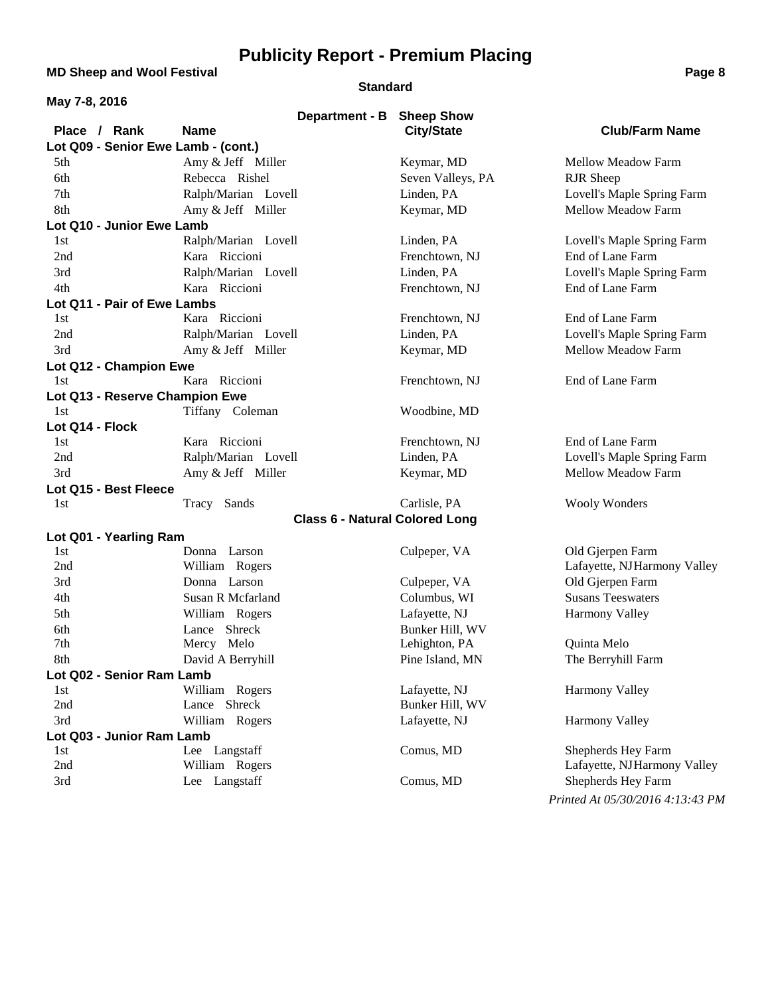**MD Sheep and Wool Festival <b>Page 8 Page 8** 

#### **Standard**

| May 7-8, 2016                       |                                          |                   |                             |
|-------------------------------------|------------------------------------------|-------------------|-----------------------------|
| Place / Rank                        | Department - B Sheep Show<br><b>Name</b> | <b>City/State</b> | <b>Club/Farm Name</b>       |
| Lot Q09 - Senior Ewe Lamb - (cont.) |                                          |                   |                             |
| 5th                                 | Amy & Jeff Miller                        | Keymar, MD        | Mellow Meadow Farm          |
| 6th                                 | Rebecca Rishel                           | Seven Valleys, PA | RJR Sheep                   |
| 7th                                 | Ralph/Marian Lovell                      | Linden, PA        | Lovell's Maple Spring Farm  |
| 8th                                 | Amy & Jeff Miller                        | Keymar, MD        | Mellow Meadow Farm          |
| Lot Q10 - Junior Ewe Lamb           |                                          |                   |                             |
| 1st                                 | Ralph/Marian Lovell                      | Linden, PA        | Lovell's Maple Spring Farm  |
| 2nd                                 | Kara Riccioni                            | Frenchtown, NJ    | End of Lane Farm            |
| 3rd                                 | Ralph/Marian Lovell                      | Linden, PA        | Lovell's Maple Spring Farm  |
| 4th                                 | Kara Riccioni                            | Frenchtown, NJ    | End of Lane Farm            |
| Lot Q11 - Pair of Ewe Lambs         |                                          |                   |                             |
| 1st                                 | Kara Riccioni                            | Frenchtown, NJ    | End of Lane Farm            |
| 2nd                                 | Ralph/Marian Lovell                      | Linden, PA        | Lovell's Maple Spring Farm  |
| 3rd                                 | Amy & Jeff Miller                        | Keymar, MD        | <b>Mellow Meadow Farm</b>   |
| Lot Q12 - Champion Ewe              |                                          |                   |                             |
| 1st                                 | Kara Riccioni                            | Frenchtown, NJ    | End of Lane Farm            |
| Lot Q13 - Reserve Champion Ewe      |                                          |                   |                             |
| 1st                                 | Tiffany Coleman                          | Woodbine, MD      |                             |
| Lot Q14 - Flock                     |                                          |                   |                             |
| 1st                                 | Kara Riccioni                            | Frenchtown, NJ    | End of Lane Farm            |
| 2nd                                 | Ralph/Marian Lovell                      | Linden, PA        | Lovell's Maple Spring Farm  |
| 3rd                                 | Amy & Jeff Miller                        | Keymar, MD        | Mellow Meadow Farm          |
| Lot Q15 - Best Fleece               |                                          |                   |                             |
| 1st                                 | Tracy Sands                              | Carlisle, PA      | <b>Wooly Wonders</b>        |
|                                     | <b>Class 6 - Natural Colored Long</b>    |                   |                             |
| Lot Q01 - Yearling Ram              |                                          |                   |                             |
| 1st                                 | Donna Larson                             | Culpeper, VA      | Old Gjerpen Farm            |
| 2nd                                 | William Rogers                           |                   | Lafayette, NJHarmony Valley |
| 3rd                                 | Donna Larson                             | Culpeper, VA      | Old Gjerpen Farm            |
| 4th                                 | Susan R Mcfarland                        | Columbus, WI      | <b>Susans Teeswaters</b>    |
| 5th                                 | William Rogers                           | Lafayette, NJ     | Harmony Valley              |
| 6th                                 | Lance Shreck                             | Bunker Hill, WV   |                             |
| 7th                                 | Mercy Melo                               | Lehighton, PA     | Quinta Melo                 |
| 8th                                 | David A Berryhill                        | Pine Island, MN   | The Berryhill Farm          |
| Lot Q02 - Senior Ram Lamb           |                                          |                   |                             |
| 1st                                 | William Rogers                           | Lafayette, NJ     | <b>Harmony Valley</b>       |
| 2nd                                 | Lance Shreck                             | Bunker Hill, WV   |                             |
| 3rd                                 | William Rogers                           | Lafayette, NJ     | <b>Harmony Valley</b>       |
| Lot Q03 - Junior Ram Lamb           |                                          |                   |                             |
| 1st                                 | Lee Langstaff                            | Comus, MD         | Shepherds Hey Farm          |
| 2nd                                 | William Rogers                           |                   | Lafayette, NJHarmony Valley |
| 3rd                                 | Lee Langstaff                            | Comus, MD         | Shepherds Hey Farm          |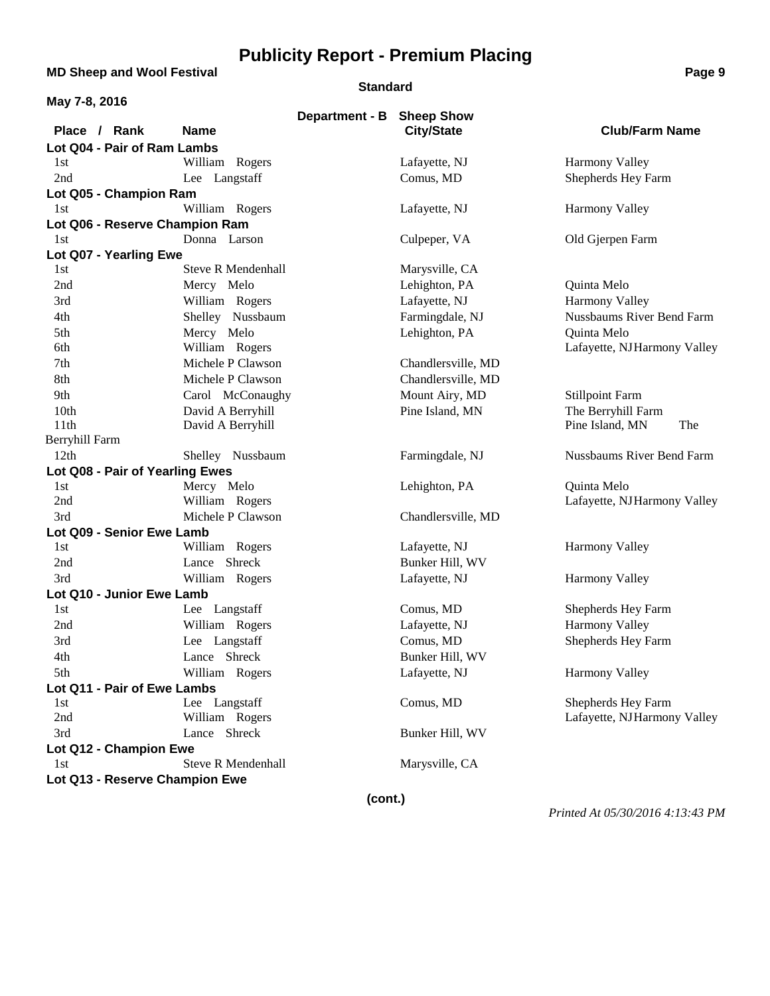**MD Sheep and Wool Festival <b>Page 9 Page 9** 

#### **Standard**

| May 7-8, 2016                   |                           |                |                                        |                                  |
|---------------------------------|---------------------------|----------------|----------------------------------------|----------------------------------|
| Place / Rank                    | <b>Name</b>               | Department - B | <b>Sheep Show</b><br><b>City/State</b> | <b>Club/Farm Name</b>            |
| Lot Q04 - Pair of Ram Lambs     |                           |                |                                        |                                  |
| 1st                             | William Rogers            |                | Lafayette, NJ                          | <b>Harmony Valley</b>            |
| 2nd                             | Lee Langstaff             |                | Comus, MD                              | Shepherds Hey Farm               |
| Lot Q05 - Champion Ram          |                           |                |                                        |                                  |
| 1st                             | William Rogers            |                | Lafayette, NJ                          | <b>Harmony Valley</b>            |
| Lot Q06 - Reserve Champion Ram  |                           |                |                                        |                                  |
| 1st                             | Donna Larson              |                | Culpeper, VA                           | Old Gjerpen Farm                 |
| Lot Q07 - Yearling Ewe          |                           |                |                                        |                                  |
| 1st                             | <b>Steve R Mendenhall</b> |                | Marysville, CA                         |                                  |
| 2nd                             | Mercy Melo                |                | Lehighton, PA                          | Quinta Melo                      |
| 3rd                             | William Rogers            |                | Lafayette, NJ                          | Harmony Valley                   |
| 4th                             | Shelley Nussbaum          |                | Farmingdale, NJ                        | Nussbaums River Bend Farm        |
| 5th                             | Mercy Melo                |                | Lehighton, PA                          | Quinta Melo                      |
| 6th                             | William Rogers            |                |                                        | Lafayette, NJHarmony Valley      |
| 7th                             | Michele P Clawson         |                | Chandlersville, MD                     |                                  |
| 8th                             | Michele P Clawson         |                | Chandlersville, MD                     |                                  |
| 9th                             | Carol McConaughy          |                | Mount Airy, MD                         | <b>Stillpoint Farm</b>           |
| 10th                            | David A Berryhill         |                | Pine Island, MN                        | The Berryhill Farm               |
| 11th                            | David A Berryhill         |                |                                        | Pine Island, MN<br>The           |
| Berryhill Farm                  |                           |                |                                        |                                  |
| 12 <sup>th</sup>                | Shelley Nussbaum          |                | Farmingdale, NJ                        | <b>Nussbaums River Bend Farm</b> |
| Lot Q08 - Pair of Yearling Ewes |                           |                |                                        |                                  |
| 1st                             | Mercy Melo                |                | Lehighton, PA                          | Quinta Melo                      |
| 2nd                             | William Rogers            |                |                                        | Lafayette, NJHarmony Valley      |
| 3rd                             | Michele P Clawson         |                | Chandlersville, MD                     |                                  |
| Lot Q09 - Senior Ewe Lamb       |                           |                |                                        |                                  |
| 1st                             | William Rogers            |                | Lafayette, NJ                          | <b>Harmony Valley</b>            |
| 2nd                             | Lance Shreck              |                | Bunker Hill, WV                        |                                  |
| 3rd                             | William Rogers            |                | Lafayette, NJ                          | <b>Harmony Valley</b>            |
| Lot Q10 - Junior Ewe Lamb       |                           |                |                                        |                                  |
| 1st                             | Lee Langstaff             |                | Comus, MD                              | Shepherds Hey Farm               |
| 2nd                             | William Rogers            |                | Lafayette, NJ                          | Harmony Valley                   |
| 3rd                             | Lee Langstaff             |                | Comus, MD                              | Shepherds Hey Farm               |
| 4th                             | Lance Shreck              |                | Bunker Hill, WV                        |                                  |
| 5th                             | William Rogers            |                | Lafayette, NJ                          | <b>Harmony Valley</b>            |
| Lot Q11 - Pair of Ewe Lambs     |                           |                |                                        |                                  |
| 1st                             | Lee Langstaff             |                | Comus, MD                              | Shepherds Hey Farm               |
| 2nd                             | William Rogers            |                |                                        | Lafayette, NJHarmony Valley      |
| 3rd                             | Lance Shreck              |                | Bunker Hill, WV                        |                                  |
| Lot Q12 - Champion Ewe          |                           |                |                                        |                                  |
| 1st                             | <b>Steve R Mendenhall</b> |                | Marysville, CA                         |                                  |
| Lot Q13 - Reserve Champion Ewe  |                           |                |                                        |                                  |

**(cont.)**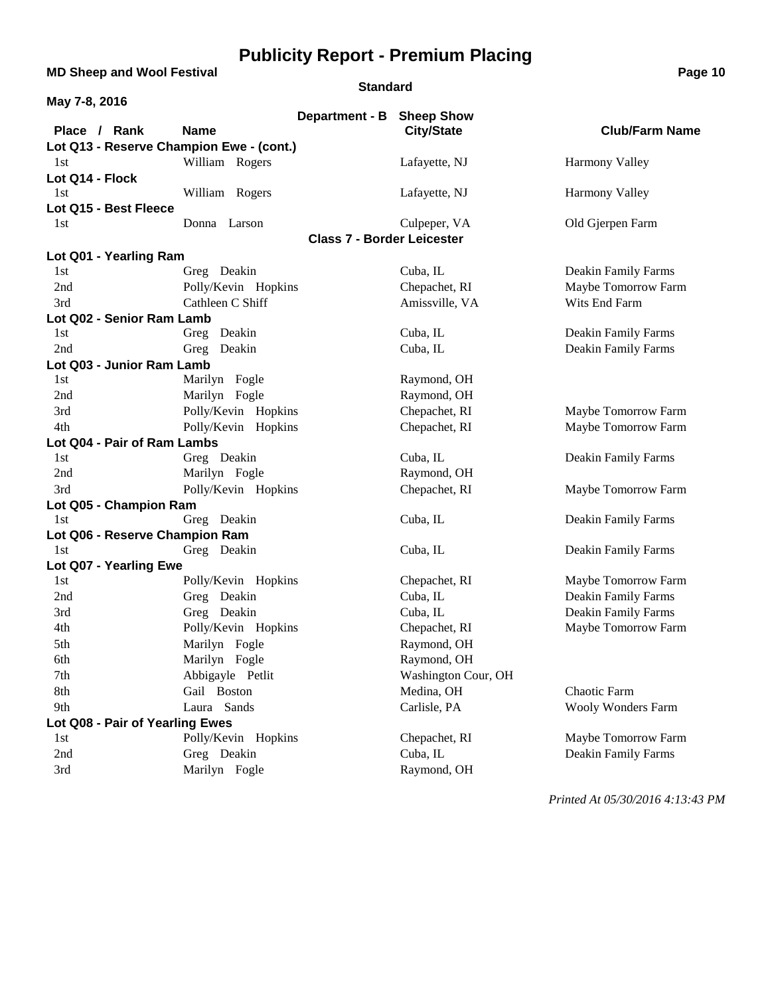**MD Sheep and Wool Festival <b>Page 10** 

### **Standard**

| May 7-8, 2016                   |                                          |                     |                       |
|---------------------------------|------------------------------------------|---------------------|-----------------------|
|                                 | Department - B                           | <b>Sheep Show</b>   |                       |
| Place / Rank                    | <b>Name</b>                              | <b>City/State</b>   | <b>Club/Farm Name</b> |
|                                 | Lot Q13 - Reserve Champion Ewe - (cont.) |                     |                       |
| 1st                             | William Rogers                           | Lafayette, NJ       | <b>Harmony Valley</b> |
| Lot Q14 - Flock                 |                                          |                     |                       |
| 1st                             | William Rogers                           | Lafayette, NJ       | Harmony Valley        |
| Lot Q15 - Best Fleece           |                                          |                     |                       |
| 1st                             | Donna Larson                             | Culpeper, VA        | Old Gjerpen Farm      |
|                                 | <b>Class 7 - Border Leicester</b>        |                     |                       |
| Lot Q01 - Yearling Ram          |                                          |                     |                       |
| 1st                             | Greg Deakin                              | Cuba, IL            | Deakin Family Farms   |
| 2nd                             | Polly/Kevin Hopkins                      | Chepachet, RI       | Maybe Tomorrow Farm   |
| 3rd                             | Cathleen C Shiff                         | Amissville, VA      | Wits End Farm         |
| Lot Q02 - Senior Ram Lamb       |                                          |                     |                       |
| 1st                             | Greg Deakin                              | Cuba, IL            | Deakin Family Farms   |
| 2nd                             | Greg Deakin                              | Cuba, IL            | Deakin Family Farms   |
| Lot Q03 - Junior Ram Lamb       |                                          |                     |                       |
| 1st                             | Marilyn Fogle                            | Raymond, OH         |                       |
| 2nd                             | Marilyn Fogle                            | Raymond, OH         |                       |
| 3rd                             | Polly/Kevin Hopkins                      | Chepachet, RI       | Maybe Tomorrow Farm   |
| 4th                             | Polly/Kevin Hopkins                      | Chepachet, RI       | Maybe Tomorrow Farm   |
| Lot Q04 - Pair of Ram Lambs     |                                          |                     |                       |
| 1st                             | Greg Deakin                              | Cuba, IL            | Deakin Family Farms   |
| 2nd                             | Marilyn Fogle                            | Raymond, OH         |                       |
| 3rd                             | Polly/Kevin Hopkins                      | Chepachet, RI       | Maybe Tomorrow Farm   |
| Lot Q05 - Champion Ram          |                                          |                     |                       |
| 1st                             | Greg Deakin                              | Cuba, IL            | Deakin Family Farms   |
| Lot Q06 - Reserve Champion Ram  |                                          |                     |                       |
| 1st                             | Greg Deakin                              | Cuba, IL            | Deakin Family Farms   |
| Lot Q07 - Yearling Ewe          |                                          |                     |                       |
| 1st                             | Polly/Kevin Hopkins                      | Chepachet, RI       | Maybe Tomorrow Farm   |
| 2nd                             | Greg Deakin                              | Cuba, IL            | Deakin Family Farms   |
| 3rd                             | Greg Deakin                              | Cuba, IL            | Deakin Family Farms   |
| 4th                             | Polly/Kevin Hopkins                      | Chepachet, RI       | Maybe Tomorrow Farm   |
| 5th                             | Marilyn Fogle                            | Raymond, OH         |                       |
| 6th                             | Marilyn Fogle                            | Raymond, OH         |                       |
| 7th                             | Abbigayle Petlit                         | Washington Cour, OH |                       |
| 8th                             | Gail Boston                              | Medina, OH          | Chaotic Farm          |
| 9th                             | Laura Sands                              | Carlisle, PA        | Wooly Wonders Farm    |
| Lot Q08 - Pair of Yearling Ewes |                                          |                     |                       |
| 1st                             | Polly/Kevin Hopkins                      | Chepachet, RI       | Maybe Tomorrow Farm   |
| 2nd                             | Greg Deakin                              | Cuba, IL            | Deakin Family Farms   |
| 3rd                             | Marilyn Fogle                            | Raymond, OH         |                       |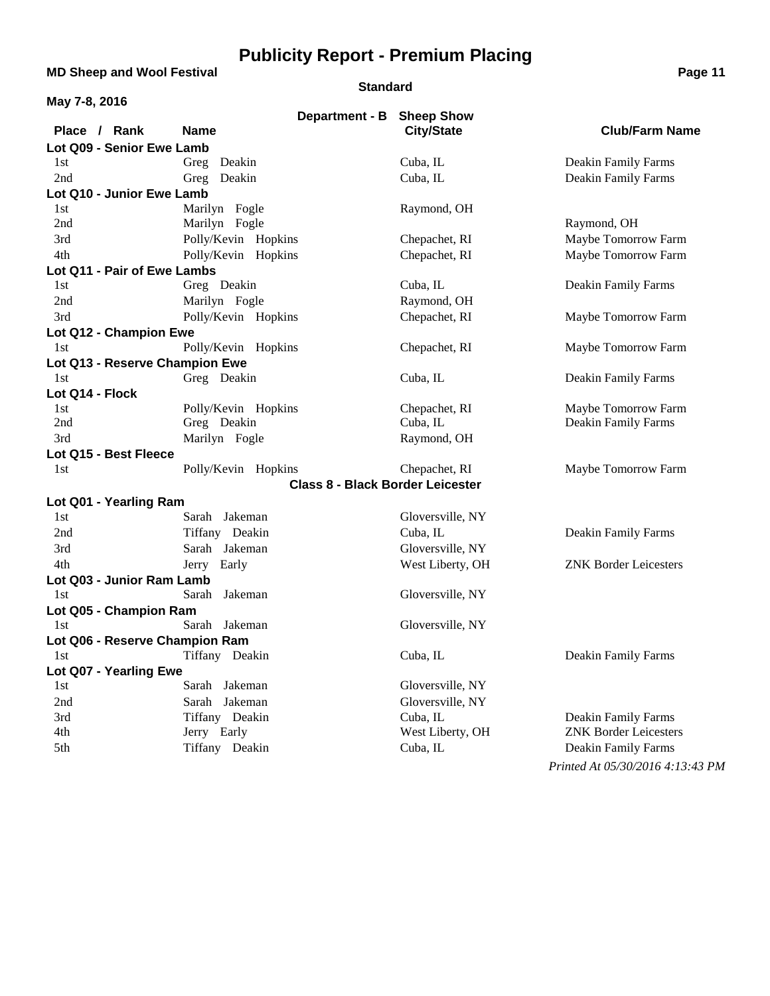**MD Sheep and Wool Festival <b>Page 11 Page 11** 

#### **Standard**

| May 7-8, 2016                  |                                         |                   |                                  |
|--------------------------------|-----------------------------------------|-------------------|----------------------------------|
|                                | Department - B Sheep Show               |                   |                                  |
| Place / Rank                   | <b>Name</b>                             | <b>City/State</b> | <b>Club/Farm Name</b>            |
| Lot Q09 - Senior Ewe Lamb      |                                         |                   |                                  |
| 1st                            | Greg Deakin                             | Cuba, IL          | Deakin Family Farms              |
| 2nd                            | Greg Deakin                             | Cuba, IL          | Deakin Family Farms              |
| Lot Q10 - Junior Ewe Lamb      |                                         |                   |                                  |
| 1st                            | Marilyn Fogle                           | Raymond, OH       |                                  |
| 2nd                            | Marilyn Fogle                           |                   | Raymond, OH                      |
| 3rd                            | Polly/Kevin Hopkins                     | Chepachet, RI     | Maybe Tomorrow Farm              |
| 4th                            | Polly/Kevin Hopkins                     | Chepachet, RI     | Maybe Tomorrow Farm              |
| Lot Q11 - Pair of Ewe Lambs    |                                         |                   |                                  |
| 1st                            | Greg Deakin                             | Cuba, IL          | Deakin Family Farms              |
| 2nd                            | Marilyn Fogle                           | Raymond, OH       |                                  |
| 3rd                            | Polly/Kevin Hopkins                     | Chepachet, RI     | Maybe Tomorrow Farm              |
| Lot Q12 - Champion Ewe         |                                         |                   |                                  |
| 1st                            | Polly/Kevin Hopkins                     | Chepachet, RI     | Maybe Tomorrow Farm              |
| Lot Q13 - Reserve Champion Ewe |                                         |                   |                                  |
| 1st                            | Greg Deakin                             | Cuba, IL          | Deakin Family Farms              |
| Lot Q14 - Flock                |                                         |                   |                                  |
| 1st                            | Polly/Kevin Hopkins                     | Chepachet, RI     | Maybe Tomorrow Farm              |
| 2nd                            | Greg Deakin                             | Cuba, IL          | Deakin Family Farms              |
| 3rd                            | Marilyn Fogle                           | Raymond, OH       |                                  |
| Lot Q15 - Best Fleece          |                                         |                   |                                  |
| 1st                            | Polly/Kevin Hopkins                     | Chepachet, RI     | Maybe Tomorrow Farm              |
|                                | <b>Class 8 - Black Border Leicester</b> |                   |                                  |
| Lot Q01 - Yearling Ram         |                                         |                   |                                  |
| 1st                            | Sarah Jakeman                           | Gloversville, NY  |                                  |
| 2nd                            | Tiffany Deakin                          | Cuba, IL          | Deakin Family Farms              |
| 3rd                            | Sarah Jakeman                           | Gloversville, NY  |                                  |
| 4th                            | Jerry Early                             | West Liberty, OH  | <b>ZNK Border Leicesters</b>     |
| Lot Q03 - Junior Ram Lamb      |                                         |                   |                                  |
| 1st                            | Sarah Jakeman                           | Gloversville, NY  |                                  |
| Lot Q05 - Champion Ram         |                                         |                   |                                  |
| 1st                            | Sarah Jakeman                           | Gloversville, NY  |                                  |
| Lot Q06 - Reserve Champion Ram |                                         |                   |                                  |
| 1st.                           | Tiffany Deakin                          | Cuba, IL          | Deakin Family Farms              |
| Lot Q07 - Yearling Ewe         |                                         |                   |                                  |
| 1st                            | Sarah Jakeman                           | Gloversville, NY  |                                  |
| 2nd                            | Sarah Jakeman                           | Gloversville, NY  |                                  |
| 3rd                            | Tiffany Deakin                          | Cuba, IL          | Deakin Family Farms              |
| 4th                            | Jerry Early                             | West Liberty, OH  | <b>ZNK Border Leicesters</b>     |
| 5th                            | Tiffany Deakin                          | Cuba, IL          | Deakin Family Farms              |
|                                |                                         |                   | Printed At 05/30/2016 4:13:43 PM |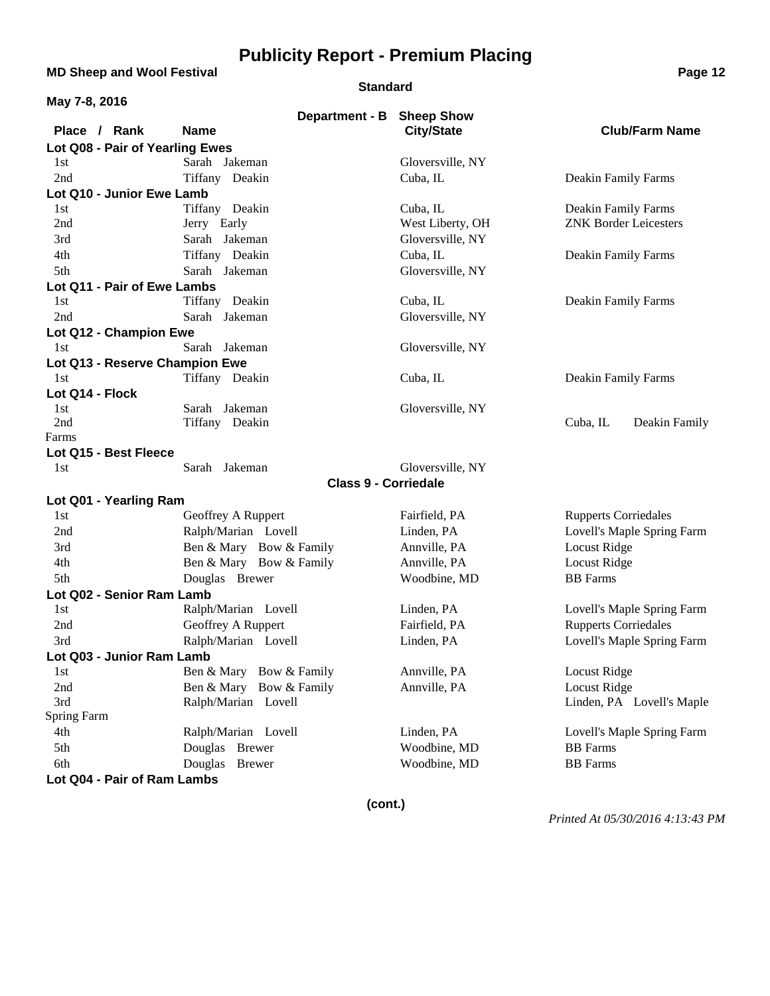**MD Sheep and Wool Festival <b>Page 12 Page 12** 

#### **Standard**

| May 7-8, 2016                    |                               |                                        |                              |
|----------------------------------|-------------------------------|----------------------------------------|------------------------------|
| Place / Rank                     | Department - B<br><b>Name</b> | <b>Sheep Show</b><br><b>City/State</b> | <b>Club/Farm Name</b>        |
| Lot Q08 - Pair of Yearling Ewes  |                               |                                        |                              |
| 1st                              | Sarah Jakeman                 | Gloversville, NY                       |                              |
| 2nd                              | Tiffany Deakin                | Cuba, IL                               | Deakin Family Farms          |
| Lot Q10 - Junior Ewe Lamb        |                               |                                        |                              |
| 1st                              | Tiffany Deakin                | Cuba, IL                               | Deakin Family Farms          |
| 2nd                              | Jerry Early                   | West Liberty, OH                       | <b>ZNK Border Leicesters</b> |
| 3rd                              | Sarah Jakeman                 | Gloversville, NY                       |                              |
| 4th                              | Tiffany Deakin                | Cuba, IL                               | Deakin Family Farms          |
| 5th                              | Sarah Jakeman                 | Gloversville, NY                       |                              |
| Lot Q11 - Pair of Ewe Lambs      |                               |                                        |                              |
| 1st                              | Tiffany Deakin                | Cuba, IL                               | Deakin Family Farms          |
| 2nd                              | Sarah Jakeman                 | Gloversville, NY                       |                              |
| Lot Q12 - Champion Ewe           |                               |                                        |                              |
| 1st                              | Sarah Jakeman                 | Gloversville, NY                       |                              |
| Lot Q13 - Reserve Champion Ewe   |                               |                                        |                              |
| 1st                              | Tiffany Deakin                | Cuba, IL                               | Deakin Family Farms          |
| Lot Q14 - Flock                  |                               |                                        |                              |
| 1st                              | Sarah Jakeman                 | Gloversville, NY                       |                              |
| 2nd<br>Farms                     | Tiffany Deakin                |                                        | Cuba, IL<br>Deakin Family    |
| Lot Q15 - Best Fleece            |                               |                                        |                              |
| 1st                              | Sarah Jakeman                 | Gloversville, NY                       |                              |
|                                  | <b>Class 9 - Corriedale</b>   |                                        |                              |
|                                  |                               |                                        |                              |
| Lot Q01 - Yearling Ram<br>1st    | Geoffrey A Ruppert            | Fairfield, PA                          | <b>Rupperts Corriedales</b>  |
| 2nd                              | Ralph/Marian Lovell           | Linden, PA                             | Lovell's Maple Spring Farm   |
| 3rd                              | Ben & Mary Bow & Family       | Annville, PA                           | Locust Ridge                 |
|                                  |                               | Annville, PA                           | Locust Ridge                 |
| 4th                              | Ben & Mary Bow & Family       | Woodbine, MD                           | <b>BB</b> Farms              |
| 5th                              | Douglas Brewer                |                                        |                              |
| Lot Q02 - Senior Ram Lamb<br>1st | Ralph/Marian Lovell           | Linden, PA                             | Lovell's Maple Spring Farm   |
| 2nd                              | Geoffrey A Ruppert            | Fairfield, PA                          | <b>Rupperts Corriedales</b>  |
|                                  | Ralph/Marian Lovell           | Linden, PA                             |                              |
| 3rd<br>Lot Q03 - Junior Ram Lamb |                               |                                        | Lovell's Maple Spring Farm   |
| 1st                              | Ben & Mary Bow & Family       | Annville, PA                           | Locust Ridge                 |
| 2nd                              | Ben & Mary Bow & Family       | Annville, PA                           | <b>Locust Ridge</b>          |
| 3rd                              | Ralph/Marian Lovell           |                                        | Linden, PA Lovell's Maple    |
| Spring Farm                      |                               |                                        |                              |
| 4th                              | Ralph/Marian Lovell           | Linden, PA                             | Lovell's Maple Spring Farm   |
| 5th                              | Douglas Brewer                | Woodbine, MD                           | <b>BB</b> Farms              |
| 6th                              | Douglas<br><b>Brewer</b>      | Woodbine, MD                           | <b>BB</b> Farms              |
| Lot Q04 - Pair of Ram Lambs      |                               |                                        |                              |
|                                  |                               |                                        |                              |

**(cont.)**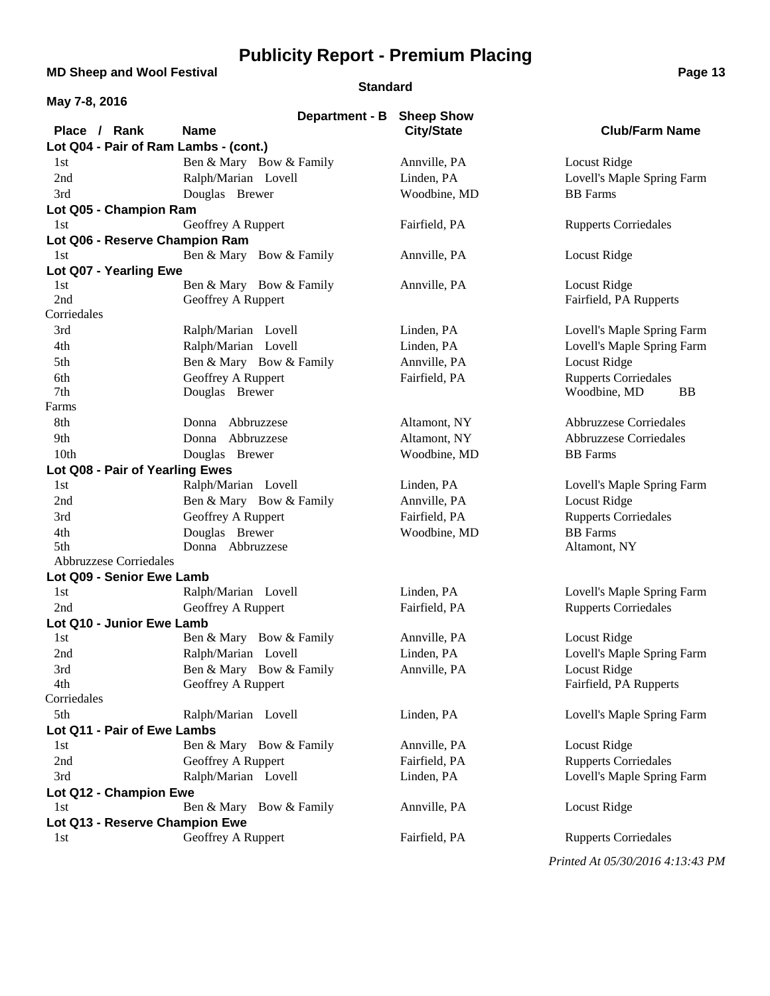**MD Sheep and Wool Festival <b>Page 13** 

### **Standard**

| May 7-8, 2016                          |                         |                              |                                                                |
|----------------------------------------|-------------------------|------------------------------|----------------------------------------------------------------|
|                                        | Department - B          | <b>Sheep Show</b>            |                                                                |
| Place / Rank                           | <b>Name</b>             | <b>City/State</b>            | <b>Club/Farm Name</b>                                          |
| Lot Q04 - Pair of Ram Lambs - (cont.)  |                         |                              |                                                                |
| 1st                                    | Ben & Mary Bow & Family | Annville, PA                 | Locust Ridge                                                   |
| 2nd                                    | Ralph/Marian Lovell     | Linden, PA                   | Lovell's Maple Spring Farm                                     |
| 3rd                                    | Douglas Brewer          | Woodbine, MD                 | <b>BB</b> Farms                                                |
| Lot Q05 - Champion Ram                 |                         |                              |                                                                |
| 1st                                    | Geoffrey A Ruppert      | Fairfield, PA                | <b>Rupperts Corriedales</b>                                    |
| Lot Q06 - Reserve Champion Ram         |                         |                              |                                                                |
| 1st                                    | Ben & Mary Bow & Family | Annville, PA                 | Locust Ridge                                                   |
| Lot Q07 - Yearling Ewe                 |                         |                              |                                                                |
| 1st                                    | Ben & Mary Bow & Family | Annville, PA                 | Locust Ridge                                                   |
| 2nd                                    | Geoffrey A Ruppert      |                              | Fairfield, PA Rupperts                                         |
| Corriedales                            |                         |                              |                                                                |
| 3rd                                    | Ralph/Marian Lovell     | Linden, PA                   | Lovell's Maple Spring Farm                                     |
| 4th                                    | Ralph/Marian Lovell     | Linden, PA                   | Lovell's Maple Spring Farm                                     |
| 5th                                    | Ben & Mary Bow & Family | Annville, PA                 | Locust Ridge                                                   |
| 6th                                    | Geoffrey A Ruppert      | Fairfield, PA                | <b>Rupperts Corriedales</b>                                    |
| 7th<br>Farms                           | Douglas Brewer          |                              | Woodbine, MD<br><b>BB</b>                                      |
|                                        | Donna Abbruzzese        |                              |                                                                |
| 8th<br>9th                             | Donna Abbruzzese        | Altamont, NY<br>Altamont, NY | <b>Abbruzzese Corriedales</b><br><b>Abbruzzese Corriedales</b> |
| 10th                                   | Douglas Brewer          |                              | <b>BB</b> Farms                                                |
|                                        |                         | Woodbine, MD                 |                                                                |
| Lot Q08 - Pair of Yearling Ewes<br>1st | Ralph/Marian Lovell     | Linden, PA                   | Lovell's Maple Spring Farm                                     |
| 2nd                                    | Ben & Mary Bow & Family | Annville, PA                 | Locust Ridge                                                   |
| 3rd                                    | Geoffrey A Ruppert      | Fairfield, PA                | <b>Rupperts Corriedales</b>                                    |
| 4th                                    | Douglas Brewer          | Woodbine, MD                 | <b>BB</b> Farms                                                |
| 5th                                    | Donna Abbruzzese        |                              | Altamont, NY                                                   |
| <b>Abbruzzese Corriedales</b>          |                         |                              |                                                                |
| Lot Q09 - Senior Ewe Lamb              |                         |                              |                                                                |
| 1st                                    | Ralph/Marian Lovell     | Linden, PA                   | Lovell's Maple Spring Farm                                     |
| 2nd                                    | Geoffrey A Ruppert      | Fairfield, PA                | <b>Rupperts Corriedales</b>                                    |
| Lot Q10 - Junior Ewe Lamb              |                         |                              |                                                                |
| 1st                                    | Ben & Mary Bow & Family | Annville, PA                 | Locust Ridge                                                   |
| 2nd                                    | Ralph/Marian Lovell     | Linden, PA                   | Lovell's Maple Spring Farm                                     |
| 3rd                                    | Ben & Mary Bow & Family | Annville, PA                 | Locust Ridge                                                   |
| 4th                                    | Geoffrey A Ruppert      |                              | Fairfield, PA Rupperts                                         |
| Corriedales                            |                         |                              |                                                                |
| 5th                                    | Ralph/Marian Lovell     | Linden, PA                   | Lovell's Maple Spring Farm                                     |
| Lot Q11 - Pair of Ewe Lambs            |                         |                              |                                                                |
| 1st                                    | Ben & Mary Bow & Family | Annville, PA                 | Locust Ridge                                                   |
| 2nd                                    | Geoffrey A Ruppert      | Fairfield, PA                | <b>Rupperts Corriedales</b>                                    |
| 3rd                                    | Ralph/Marian Lovell     | Linden, PA                   | Lovell's Maple Spring Farm                                     |
| Lot Q12 - Champion Ewe                 |                         |                              |                                                                |
| 1st                                    | Ben & Mary Bow & Family | Annville, PA                 | Locust Ridge                                                   |
| Lot Q13 - Reserve Champion Ewe         |                         |                              |                                                                |
| 1st                                    | Geoffrey A Ruppert      | Fairfield, PA                | <b>Rupperts Corriedales</b>                                    |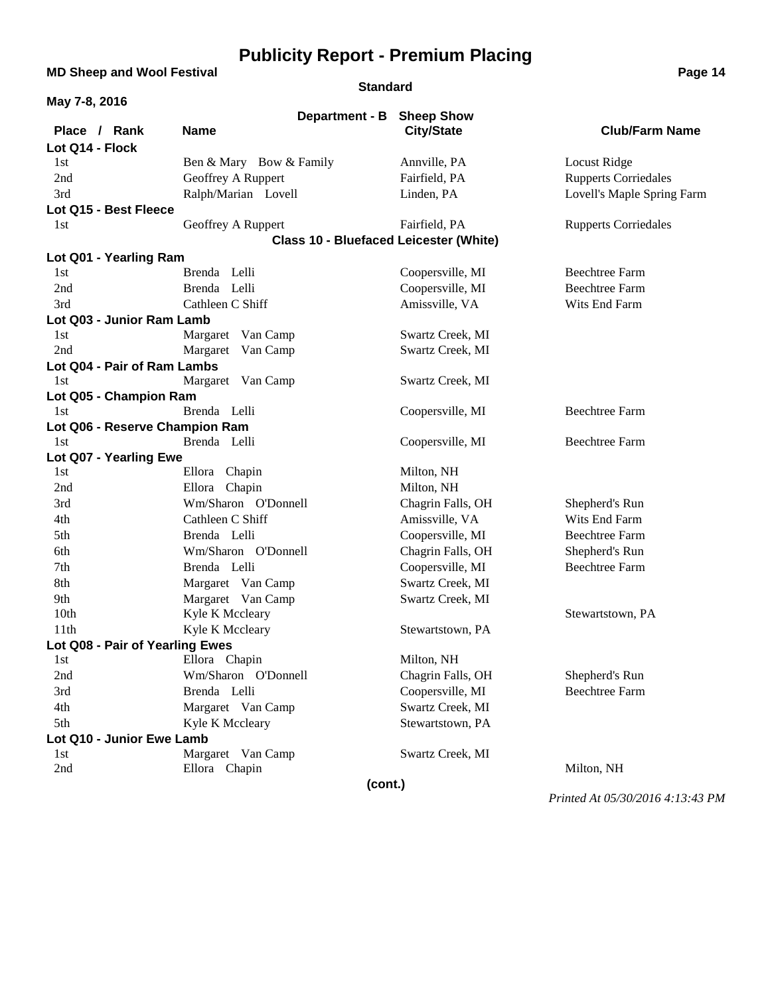### **MD Sheep and Wool Festival <b>Page 14 Page 14**

**Standard**

| May 7-8, 2016                          |                                               |                   |                                        |
|----------------------------------------|-----------------------------------------------|-------------------|----------------------------------------|
|                                        | Department - B                                | <b>Sheep Show</b> |                                        |
| Place / Rank                           | <b>Name</b>                                   | <b>City/State</b> | <b>Club/Farm Name</b>                  |
| Lot Q14 - Flock                        |                                               |                   |                                        |
| 1st                                    | Ben & Mary Bow & Family                       | Annville, PA      | Locust Ridge                           |
| 2nd                                    | Geoffrey A Ruppert                            | Fairfield, PA     | <b>Rupperts Corriedales</b>            |
| 3rd                                    | Ralph/Marian Lovell                           | Linden, PA        | Lovell's Maple Spring Farm             |
| Lot Q15 - Best Fleece                  |                                               |                   |                                        |
| 1st                                    | Geoffrey A Ruppert                            | Fairfield, PA     | <b>Rupperts Corriedales</b>            |
|                                        | <b>Class 10 - Bluefaced Leicester (White)</b> |                   |                                        |
| Lot Q01 - Yearling Ram                 |                                               |                   |                                        |
| 1st                                    | Brenda Lelli                                  | Coopersville, MI  | <b>Beechtree Farm</b>                  |
| 2nd                                    | Brenda Lelli                                  | Coopersville, MI  | <b>Beechtree Farm</b>                  |
| 3rd                                    | Cathleen C Shiff                              | Amissville, VA    | Wits End Farm                          |
| Lot Q03 - Junior Ram Lamb              |                                               |                   |                                        |
| 1st                                    | Margaret Van Camp                             | Swartz Creek, MI  |                                        |
| 2nd                                    | Margaret Van Camp                             | Swartz Creek, MI  |                                        |
| Lot Q04 - Pair of Ram Lambs            |                                               |                   |                                        |
| 1st                                    | Margaret Van Camp                             | Swartz Creek, MI  |                                        |
| Lot Q05 - Champion Ram                 |                                               |                   |                                        |
| 1st                                    | Brenda Lelli                                  | Coopersville, MI  | <b>Beechtree Farm</b>                  |
| Lot Q06 - Reserve Champion Ram         |                                               |                   |                                        |
| 1st                                    | Brenda Lelli                                  | Coopersville, MI  | <b>Beechtree Farm</b>                  |
| Lot Q07 - Yearling Ewe<br>1st          | Ellora Chapin                                 | Milton, NH        |                                        |
| 2nd                                    | Ellora Chapin                                 | Milton, NH        |                                        |
|                                        | Wm/Sharon O'Donnell                           |                   |                                        |
| 3rd                                    |                                               | Chagrin Falls, OH | Shepherd's Run                         |
| 4th<br>5th                             | Cathleen C Shiff<br>Brenda Lelli              | Amissville, VA    | Wits End Farm<br><b>Beechtree Farm</b> |
|                                        |                                               | Coopersville, MI  |                                        |
| 6th                                    | Wm/Sharon O'Donnell                           | Chagrin Falls, OH | Shepherd's Run                         |
| 7th                                    | Brenda Lelli                                  | Coopersville, MI  | <b>Beechtree Farm</b>                  |
| 8th                                    | Margaret Van Camp                             | Swartz Creek, MI  |                                        |
| 9th                                    | Margaret Van Camp                             | Swartz Creek, MI  |                                        |
| 10 <sub>th</sub>                       | Kyle K Mccleary                               |                   | Stewartstown, PA                       |
| 11 <sup>th</sup>                       | Kyle K Mccleary                               | Stewartstown, PA  |                                        |
| Lot Q08 - Pair of Yearling Ewes<br>1st | Ellora Chapin                                 | Milton, NH        |                                        |
| 2nd                                    | Wm/Sharon O'Donnell                           | Chagrin Falls, OH | Shepherd's Run                         |
| 3rd                                    | Brenda Lelli                                  | Coopersville, MI  | <b>Beechtree Farm</b>                  |
| 4th                                    |                                               | Swartz Creek, MI  |                                        |
| 5th                                    | Margaret Van Camp                             | Stewartstown, PA  |                                        |
| Lot Q10 - Junior Ewe Lamb              | Kyle K Mccleary                               |                   |                                        |
| 1st                                    | Margaret Van Camp                             | Swartz Creek, MI  |                                        |
| 2nd                                    | Ellora Chapin                                 |                   | Milton, NH                             |
|                                        | (cont.)                                       |                   |                                        |
|                                        |                                               |                   |                                        |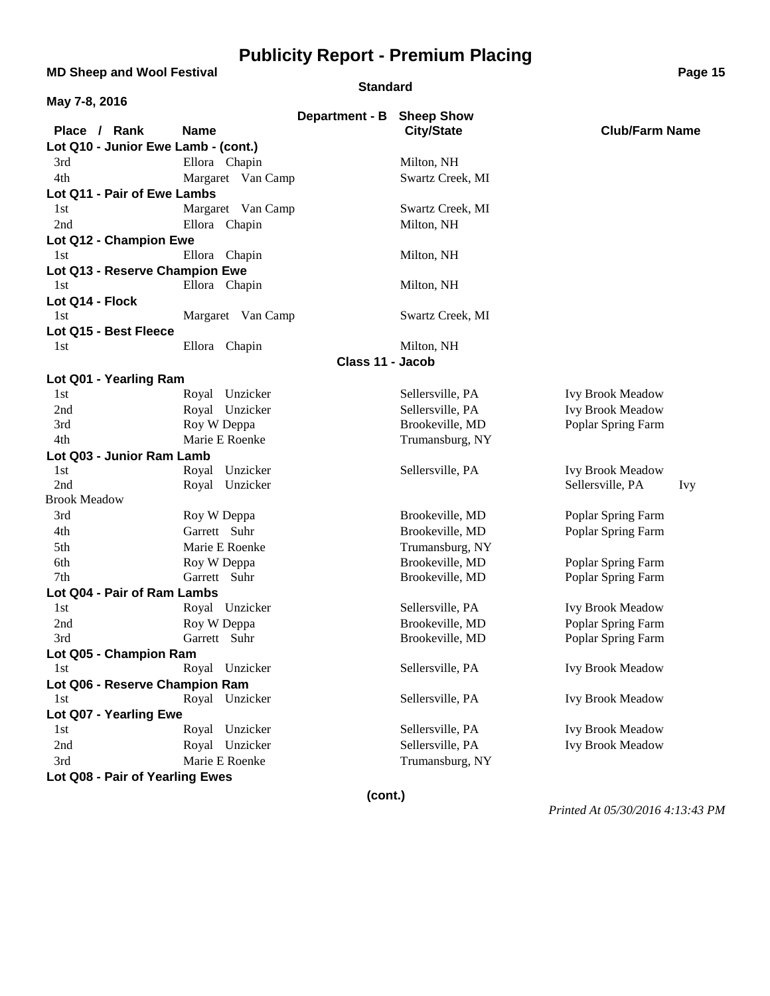**MD Sheep and Wool Festival <b>Page 15 Page 15** 

#### **Standard**

| May 7-8, 2016                       |                   |                           |                   |                                |
|-------------------------------------|-------------------|---------------------------|-------------------|--------------------------------|
| Place / Rank                        | <b>Name</b>       | Department - B Sheep Show | <b>City/State</b> | <b>Club/Farm Name</b>          |
| Lot Q10 - Junior Ewe Lamb - (cont.) |                   |                           |                   |                                |
| 3rd                                 | Ellora Chapin     |                           | Milton, NH        |                                |
| 4th                                 | Margaret Van Camp |                           | Swartz Creek, MI  |                                |
| Lot Q11 - Pair of Ewe Lambs         |                   |                           |                   |                                |
| 1st                                 | Margaret Van Camp |                           | Swartz Creek, MI  |                                |
| 2nd                                 | Ellora Chapin     |                           | Milton, NH        |                                |
| Lot Q12 - Champion Ewe              |                   |                           |                   |                                |
| 1st                                 | Ellora Chapin     |                           | Milton, NH        |                                |
| Lot Q13 - Reserve Champion Ewe      |                   |                           |                   |                                |
| 1st                                 | Ellora Chapin     |                           | Milton, NH        |                                |
| Lot Q14 - Flock                     |                   |                           |                   |                                |
| 1st                                 | Margaret Van Camp |                           | Swartz Creek, MI  |                                |
| Lot Q15 - Best Fleece               |                   |                           |                   |                                |
| 1st                                 | Ellora Chapin     |                           | Milton, NH        |                                |
|                                     |                   | Class 11 - Jacob          |                   |                                |
| Lot Q01 - Yearling Ram              |                   |                           |                   |                                |
| 1st                                 | Royal Unzicker    |                           | Sellersville, PA  | <b>Ivy Brook Meadow</b>        |
| 2nd                                 | Royal Unzicker    |                           | Sellersville, PA  | <b>Ivy Brook Meadow</b>        |
| 3rd                                 | Roy W Deppa       |                           | Brookeville, MD   | Poplar Spring Farm             |
| 4th                                 | Marie E Roenke    |                           | Trumansburg, NY   |                                |
| Lot Q03 - Junior Ram Lamb           |                   |                           |                   |                                |
| 1st                                 | Royal Unzicker    |                           | Sellersville, PA  | <b>Ivy Brook Meadow</b>        |
| 2nd                                 | Royal Unzicker    |                           |                   | Sellersville, PA<br><b>Ivy</b> |
| <b>Brook Meadow</b>                 |                   |                           |                   |                                |
| 3rd                                 | Roy W Deppa       |                           | Brookeville, MD   | Poplar Spring Farm             |
| 4th                                 | Garrett Suhr      |                           | Brookeville, MD   | Poplar Spring Farm             |
| 5th                                 | Marie E Roenke    |                           | Trumansburg, NY   |                                |
| 6th                                 | Roy W Deppa       |                           | Brookeville, MD   | Poplar Spring Farm             |
| 7th                                 | Garrett Suhr      |                           | Brookeville, MD   | Poplar Spring Farm             |
| Lot Q04 - Pair of Ram Lambs         |                   |                           |                   |                                |
| 1st                                 | Royal Unzicker    |                           | Sellersville, PA  | <b>Ivy Brook Meadow</b>        |
| 2nd                                 | Roy W Deppa       |                           | Brookeville, MD   | Poplar Spring Farm             |
| 3rd                                 | Garrett Suhr      |                           | Brookeville, MD   | Poplar Spring Farm             |
| Lot Q05 - Champion Ram              |                   |                           |                   |                                |
| 1st                                 | Royal Unzicker    |                           | Sellersville, PA  | <b>Ivy Brook Meadow</b>        |
| Lot Q06 - Reserve Champion Ram      |                   |                           |                   |                                |
| 1st                                 | Royal Unzicker    |                           | Sellersville, PA  | <b>Ivy Brook Meadow</b>        |
| Lot Q07 - Yearling Ewe              |                   |                           |                   |                                |
| 1st                                 | Royal Unzicker    |                           | Sellersville, PA  | <b>Ivy Brook Meadow</b>        |
| 2nd                                 | Royal Unzicker    |                           | Sellersville, PA  | <b>Ivy Brook Meadow</b>        |
| 3rd                                 | Marie E Roenke    |                           | Trumansburg, NY   |                                |
| Lot Q08 - Pair of Yearling Ewes     |                   |                           |                   |                                |
|                                     |                   | (cont.)                   |                   |                                |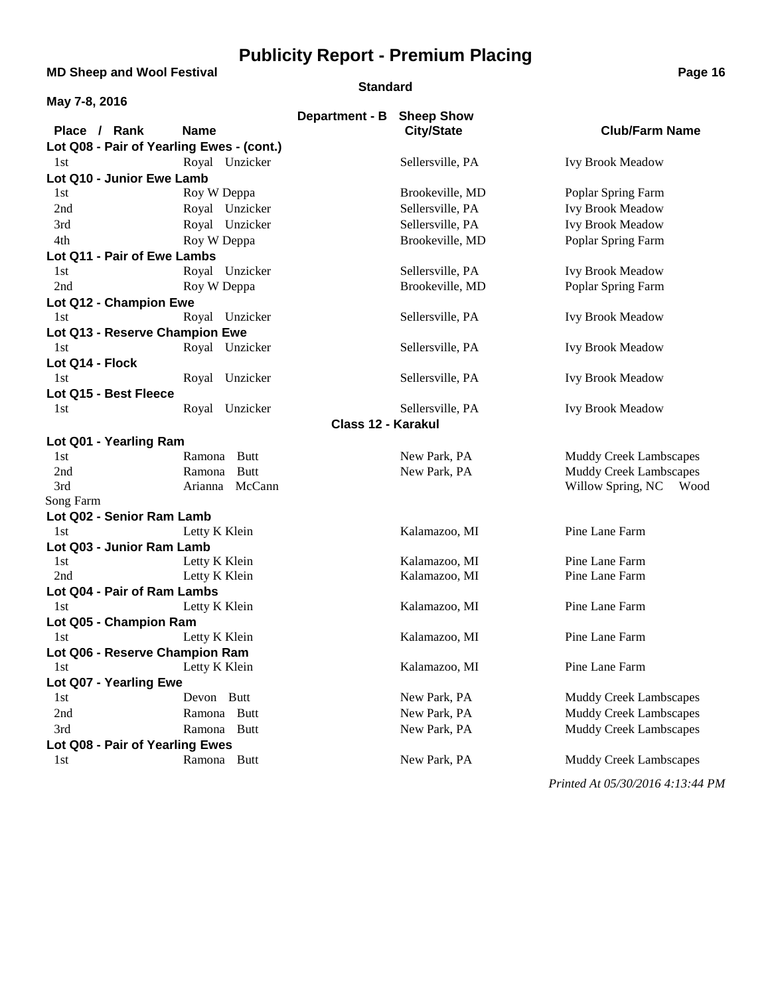**MD Sheep and Wool Festival <b>Page 16 Page 16** 

#### **Standard**

| May 7-8, 2016                             |                                |                           |                                |                                  |
|-------------------------------------------|--------------------------------|---------------------------|--------------------------------|----------------------------------|
| Place / Rank                              | <b>Name</b>                    | Department - B Sheep Show | <b>City/State</b>              | <b>Club/Farm Name</b>            |
| Lot Q08 - Pair of Yearling Ewes - (cont.) |                                |                           |                                |                                  |
| 1st                                       | Royal Unzicker                 |                           | Sellersville, PA               | <b>Ivy Brook Meadow</b>          |
| Lot Q10 - Junior Ewe Lamb                 |                                |                           |                                |                                  |
| 1st                                       | Roy W Deppa                    |                           | Brookeville, MD                | Poplar Spring Farm               |
| 2nd                                       | Royal Unzicker                 |                           | Sellersville, PA               | <b>Ivy Brook Meadow</b>          |
| 3rd                                       | Royal Unzicker                 |                           | Sellersville, PA               | <b>Ivy Brook Meadow</b>          |
| 4th                                       | Roy W Deppa                    |                           | Brookeville, MD                | Poplar Spring Farm               |
| Lot Q11 - Pair of Ewe Lambs               |                                |                           |                                |                                  |
| 1st                                       | Royal Unzicker                 |                           | Sellersville, PA               | <b>Ivy Brook Meadow</b>          |
| 2nd                                       | Roy W Deppa                    |                           | Brookeville, MD                | Poplar Spring Farm               |
| Lot Q12 - Champion Ewe                    |                                |                           |                                |                                  |
| 1st                                       | Royal Unzicker                 |                           | Sellersville, PA               | <b>Ivy Brook Meadow</b>          |
| Lot Q13 - Reserve Champion Ewe            |                                |                           |                                |                                  |
| 1st                                       | Royal Unzicker                 |                           | Sellersville, PA               | <b>Ivy Brook Meadow</b>          |
| Lot Q14 - Flock                           |                                |                           |                                |                                  |
| 1st                                       | Royal Unzicker                 |                           | Sellersville, PA               | <b>Ivy Brook Meadow</b>          |
| Lot Q15 - Best Fleece                     |                                |                           |                                |                                  |
| 1st                                       | Royal Unzicker                 |                           | Sellersville, PA               | <b>Ivy Brook Meadow</b>          |
|                                           |                                | Class 12 - Karakul        |                                |                                  |
| Lot Q01 - Yearling Ram                    |                                |                           |                                |                                  |
| 1st                                       | Ramona Butt                    |                           | New Park, PA                   | <b>Muddy Creek Lambscapes</b>    |
| 2nd                                       | Ramona<br>Butt                 |                           | New Park, PA                   | <b>Muddy Creek Lambscapes</b>    |
| 3rd                                       | Arianna McCann                 |                           |                                | Willow Spring, NC<br>Wood        |
| Song Farm                                 |                                |                           |                                |                                  |
| Lot Q02 - Senior Ram Lamb                 |                                |                           |                                |                                  |
| 1st                                       | Letty K Klein                  |                           | Kalamazoo, MI                  | Pine Lane Farm                   |
| Lot Q03 - Junior Ram Lamb                 |                                |                           |                                |                                  |
| 1st<br>2nd                                | Letty K Klein<br>Letty K Klein |                           | Kalamazoo, MI<br>Kalamazoo, MI | Pine Lane Farm<br>Pine Lane Farm |
| Lot Q04 - Pair of Ram Lambs               |                                |                           |                                |                                  |
| 1st                                       | Letty K Klein                  |                           | Kalamazoo, MI                  | Pine Lane Farm                   |
| Lot Q05 - Champion Ram                    |                                |                           |                                |                                  |
| 1st                                       | Letty K Klein                  |                           | Kalamazoo, MI                  | Pine Lane Farm                   |
| Lot Q06 - Reserve Champion Ram            |                                |                           |                                |                                  |
| 1st                                       | Letty K Klein                  |                           | Kalamazoo, MI                  | Pine Lane Farm                   |
| Lot Q07 - Yearling Ewe                    |                                |                           |                                |                                  |
| 1st                                       | Devon Butt                     |                           | New Park, PA                   | <b>Muddy Creek Lambscapes</b>    |
| 2nd                                       | Ramona Butt                    |                           | New Park, PA                   | <b>Muddy Creek Lambscapes</b>    |
| 3rd                                       | Ramona Butt                    |                           | New Park, PA                   | <b>Muddy Creek Lambscapes</b>    |
| Lot Q08 - Pair of Yearling Ewes           |                                |                           |                                |                                  |
| 1st                                       | Ramona Butt                    |                           | New Park, PA                   | <b>Muddy Creek Lambscapes</b>    |
|                                           |                                |                           |                                | Printed At 05/30/2016 4:13:44 PM |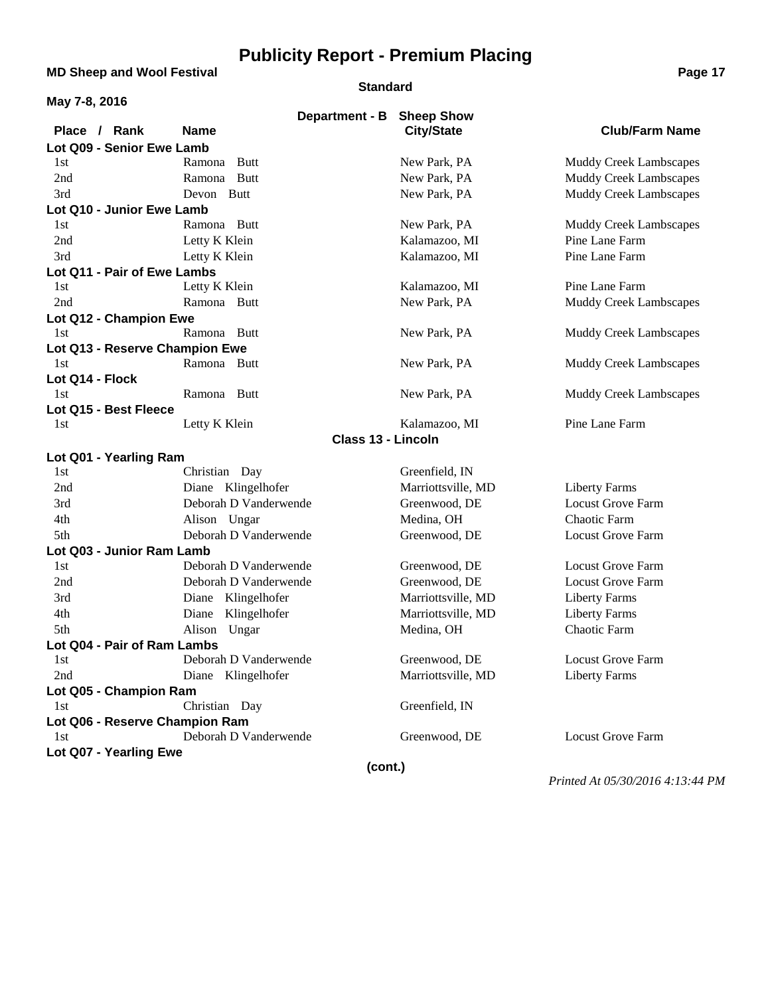**MD Sheep and Wool Festival <b>Page 17 Page 17** 

#### **Standard**

| May 7-8, 2016                  |                       |                           |                               |
|--------------------------------|-----------------------|---------------------------|-------------------------------|
|                                |                       | Department - B Sheep Show |                               |
| Place / Rank                   | <b>Name</b>           | <b>City/State</b>         | <b>Club/Farm Name</b>         |
| Lot Q09 - Senior Ewe Lamb      |                       |                           |                               |
| 1st                            | <b>Butt</b><br>Ramona | New Park, PA              | <b>Muddy Creek Lambscapes</b> |
| 2nd                            | Ramona Butt           | New Park, PA              | <b>Muddy Creek Lambscapes</b> |
| 3rd                            | Devon Butt            | New Park, PA              | <b>Muddy Creek Lambscapes</b> |
| Lot Q10 - Junior Ewe Lamb      |                       |                           |                               |
| 1st                            | Ramona Butt           | New Park, PA              | Muddy Creek Lambscapes        |
| 2nd                            | Letty K Klein         | Kalamazoo, MI             | Pine Lane Farm                |
| 3rd                            | Letty K Klein         | Kalamazoo, MI             | Pine Lane Farm                |
| Lot Q11 - Pair of Ewe Lambs    |                       |                           |                               |
| 1st                            | Letty K Klein         | Kalamazoo, MI             | Pine Lane Farm                |
| 2nd                            | Ramona Butt           | New Park, PA              | <b>Muddy Creek Lambscapes</b> |
| Lot Q12 - Champion Ewe         |                       |                           |                               |
| 1st                            | Ramona Butt           | New Park, PA              | <b>Muddy Creek Lambscapes</b> |
| Lot Q13 - Reserve Champion Ewe |                       |                           |                               |
| 1st                            | Ramona Butt           | New Park, PA              | <b>Muddy Creek Lambscapes</b> |
| Lot Q14 - Flock                |                       |                           |                               |
| 1st                            | Ramona Butt           | New Park, PA              | <b>Muddy Creek Lambscapes</b> |
| Lot Q15 - Best Fleece          |                       |                           |                               |
| 1st                            | Letty K Klein         | Kalamazoo, MI             | Pine Lane Farm                |
|                                |                       | <b>Class 13 - Lincoln</b> |                               |
| Lot Q01 - Yearling Ram         |                       |                           |                               |
| 1st                            | Christian Day         | Greenfield, IN            |                               |
| 2nd                            | Diane Klingelhofer    | Marriottsville, MD        | <b>Liberty Farms</b>          |
| 3rd                            | Deborah D Vanderwende | Greenwood, DE             | <b>Locust Grove Farm</b>      |
| 4th                            | Alison Ungar          | Medina, OH                | Chaotic Farm                  |
| 5th                            | Deborah D Vanderwende | Greenwood, DE             | <b>Locust Grove Farm</b>      |
| Lot Q03 - Junior Ram Lamb      |                       |                           |                               |
| 1st                            | Deborah D Vanderwende | Greenwood, DE             | <b>Locust Grove Farm</b>      |
| 2nd                            | Deborah D Vanderwende | Greenwood, DE             | <b>Locust Grove Farm</b>      |
| 3rd                            | Diane Klingelhofer    | Marriottsville, MD        | <b>Liberty Farms</b>          |
| 4th                            | Diane Klingelhofer    | Marriottsville, MD        | <b>Liberty Farms</b>          |
| 5th                            | Alison Ungar          | Medina, OH                | Chaotic Farm                  |
| Lot Q04 - Pair of Ram Lambs    |                       |                           |                               |
| 1st                            | Deborah D Vanderwende | Greenwood, DE             | Locust Grove Farm             |
| 2nd                            | Diane Klingelhofer    | Marriottsville, MD        | <b>Liberty Farms</b>          |
| Lot Q05 - Champion Ram         |                       |                           |                               |
| 1st                            | Christian Day         | Greenfield, IN            |                               |
| Lot Q06 - Reserve Champion Ram |                       |                           |                               |
| 1st                            | Deborah D Vanderwende | Greenwood, DE             | <b>Locust Grove Farm</b>      |
| Lot Q07 - Yearling Ewe         |                       |                           |                               |
|                                |                       | (cont.)                   |                               |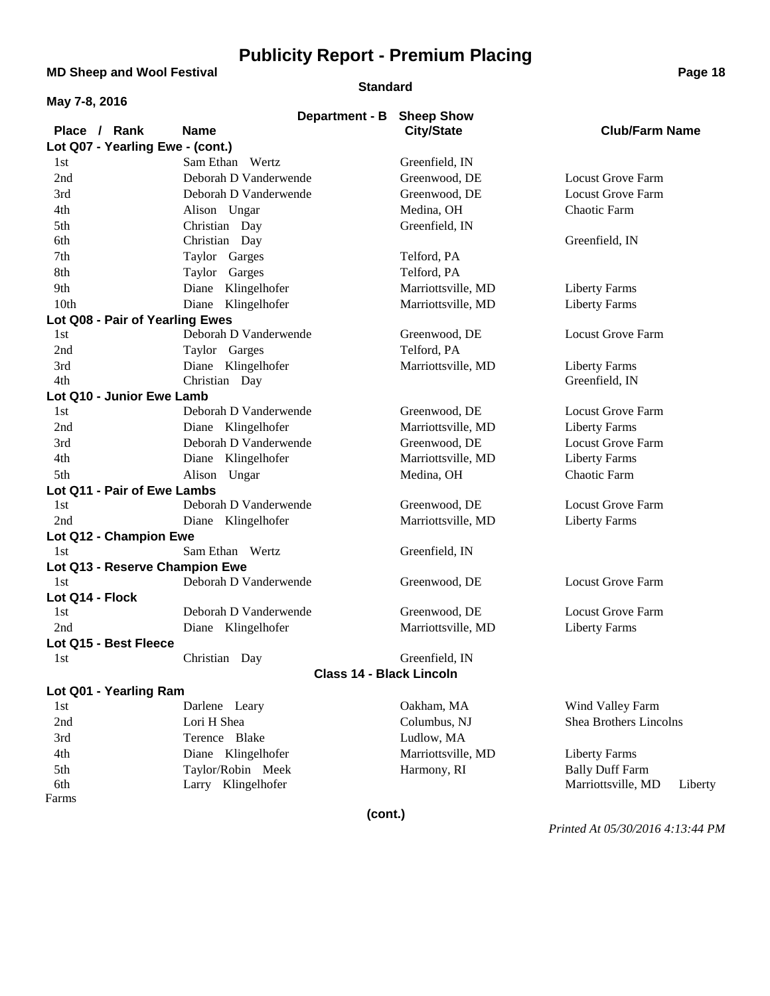**MD Sheep and Wool Festival <b>Page 18** 

#### **Standard**

|  | uyu | . . |
|--|-----|-----|
|  |     |     |
|  |     |     |
|  |     |     |

| May 7-8, 2016 |  |
|---------------|--|
|---------------|--|

|                                  | Department - B Sheep Show       |                    |                               |
|----------------------------------|---------------------------------|--------------------|-------------------------------|
| Place / Rank                     | <b>Name</b>                     | <b>City/State</b>  | <b>Club/Farm Name</b>         |
| Lot Q07 - Yearling Ewe - (cont.) |                                 |                    |                               |
| 1st                              | Sam Ethan Wertz                 | Greenfield, IN     |                               |
| 2nd                              | Deborah D Vanderwende           | Greenwood, DE      | Locust Grove Farm             |
| 3rd                              | Deborah D Vanderwende           | Greenwood, DE      | <b>Locust Grove Farm</b>      |
| 4th                              | Alison Ungar                    | Medina, OH         | Chaotic Farm                  |
| 5th                              | Christian Day                   | Greenfield, IN     |                               |
| 6th                              | Christian Day                   |                    | Greenfield, IN                |
| 7th                              | Taylor Garges                   | Telford, PA        |                               |
| 8th                              | Taylor Garges                   | Telford, PA        |                               |
| 9th                              | Diane Klingelhofer              | Marriottsville, MD | <b>Liberty Farms</b>          |
| 10th                             | Diane Klingelhofer              | Marriottsville, MD | <b>Liberty Farms</b>          |
| Lot Q08 - Pair of Yearling Ewes  |                                 |                    |                               |
| 1st                              | Deborah D Vanderwende           | Greenwood, DE      | <b>Locust Grove Farm</b>      |
| 2nd                              | Taylor Garges                   | Telford, PA        |                               |
| 3rd                              | Diane Klingelhofer              | Marriottsville, MD | <b>Liberty Farms</b>          |
| 4th                              | Christian Day                   |                    | Greenfield, IN                |
| Lot Q10 - Junior Ewe Lamb        |                                 |                    |                               |
| 1st                              | Deborah D Vanderwende           | Greenwood, DE      | <b>Locust Grove Farm</b>      |
| 2nd                              | Diane Klingelhofer              | Marriottsville, MD | <b>Liberty Farms</b>          |
| 3rd                              | Deborah D Vanderwende           | Greenwood, DE      | <b>Locust Grove Farm</b>      |
| 4th                              | Diane Klingelhofer              | Marriottsville, MD | <b>Liberty Farms</b>          |
| 5th                              | Alison Ungar                    | Medina, OH         | Chaotic Farm                  |
| Lot Q11 - Pair of Ewe Lambs      |                                 |                    |                               |
| 1st                              | Deborah D Vanderwende           | Greenwood, DE      | <b>Locust Grove Farm</b>      |
| 2nd                              | Diane Klingelhofer              | Marriottsville, MD | <b>Liberty Farms</b>          |
| Lot Q12 - Champion Ewe           |                                 |                    |                               |
| 1st                              | Sam Ethan Wertz                 | Greenfield, IN     |                               |
| Lot Q13 - Reserve Champion Ewe   |                                 |                    |                               |
| 1st                              | Deborah D Vanderwende           | Greenwood, DE      | <b>Locust Grove Farm</b>      |
| Lot Q14 - Flock                  |                                 |                    |                               |
| 1st                              | Deborah D Vanderwende           | Greenwood, DE      | <b>Locust Grove Farm</b>      |
| 2nd                              | Diane Klingelhofer              | Marriottsville, MD | <b>Liberty Farms</b>          |
| Lot Q15 - Best Fleece            |                                 |                    |                               |
| 1st                              | Christian Day                   | Greenfield, IN     |                               |
|                                  | <b>Class 14 - Black Lincoln</b> |                    |                               |
| Lot Q01 - Yearling Ram           |                                 |                    |                               |
| 1st                              | Darlene Leary                   | Oakham, MA         | Wind Valley Farm              |
| 2nd                              | Lori H Shea                     | Columbus, NJ       | Shea Brothers Lincolns        |
| 3rd                              | Terence Blake                   | Ludlow, MA         |                               |
| 4th                              | Diane Klingelhofer              | Marriottsville, MD | <b>Liberty Farms</b>          |
| 5th                              | Taylor/Robin Meek               | Harmony, RI        | <b>Bally Duff Farm</b>        |
| 6th                              | Larry Klingelhofer              |                    | Marriottsville, MD<br>Liberty |
| Farms                            |                                 |                    |                               |

**(cont.)**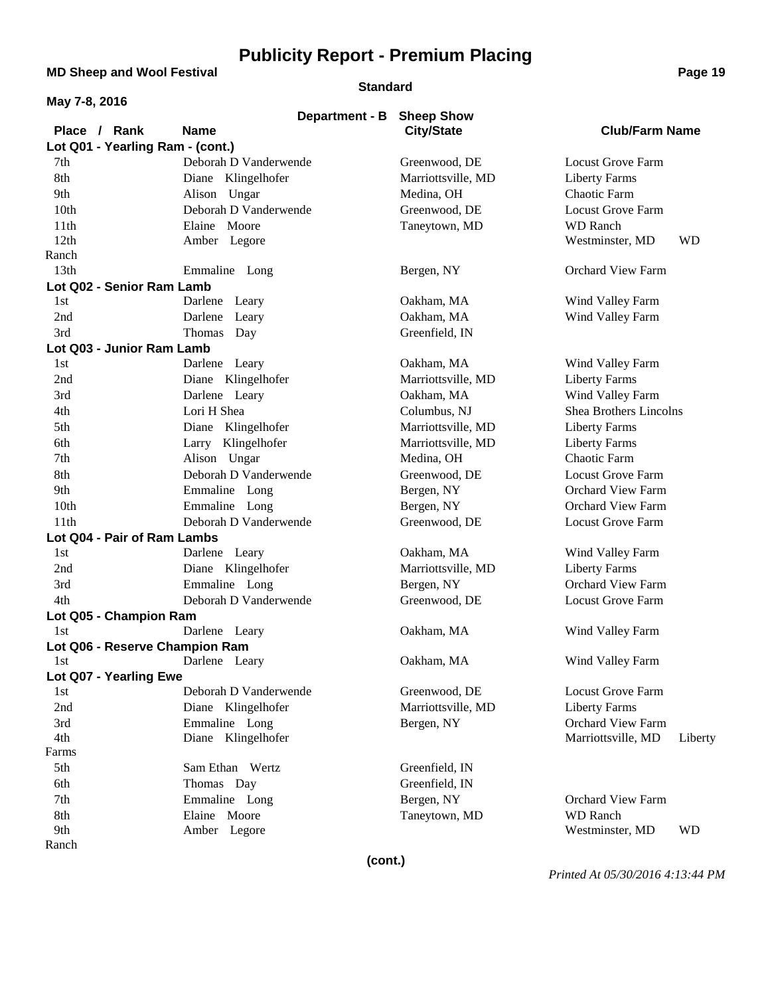**MD Sheep and Wool Festival <b>Page 19 Page 19** 

#### **Standard**

| May 7-8, 2016                    |                       |                    |                               |
|----------------------------------|-----------------------|--------------------|-------------------------------|
|                                  | Department - B        | <b>Sheep Show</b>  |                               |
| Place / Rank                     | <b>Name</b>           | <b>City/State</b>  | <b>Club/Farm Name</b>         |
| Lot Q01 - Yearling Ram - (cont.) |                       |                    |                               |
| 7th                              | Deborah D Vanderwende | Greenwood, DE      | <b>Locust Grove Farm</b>      |
| 8th                              | Diane Klingelhofer    | Marriottsville, MD | <b>Liberty Farms</b>          |
| 9th                              | Alison Ungar          | Medina, OH         | Chaotic Farm                  |
| 10th                             | Deborah D Vanderwende | Greenwood, DE      | <b>Locust Grove Farm</b>      |
| 11th                             | Elaine Moore          | Taneytown, MD      | <b>WD</b> Ranch               |
| 12th                             | Amber Legore          |                    | Westminster, MD<br><b>WD</b>  |
| Ranch                            |                       |                    |                               |
| 13th                             | Emmaline Long         | Bergen, NY         | <b>Orchard View Farm</b>      |
| Lot Q02 - Senior Ram Lamb        |                       |                    |                               |
| 1st                              | Darlene Leary         | Oakham, MA         | Wind Valley Farm              |
| 2nd                              | Darlene Leary         | Oakham, MA         | Wind Valley Farm              |
| 3rd                              | Thomas<br>Day         | Greenfield, IN     |                               |
| Lot Q03 - Junior Ram Lamb        |                       |                    |                               |
| 1st                              | Darlene Leary         | Oakham, MA         | Wind Valley Farm              |
| 2nd                              | Diane Klingelhofer    | Marriottsville, MD | <b>Liberty Farms</b>          |
| 3rd                              | Darlene Leary         | Oakham, MA         | Wind Valley Farm              |
| 4th                              | Lori H Shea           | Columbus, NJ       | <b>Shea Brothers Lincolns</b> |
| 5th                              | Diane Klingelhofer    | Marriottsville, MD | <b>Liberty Farms</b>          |
| 6th                              | Larry Klingelhofer    | Marriottsville, MD | <b>Liberty Farms</b>          |
| 7th                              | Alison Ungar          | Medina, OH         | Chaotic Farm                  |
| 8th                              | Deborah D Vanderwende | Greenwood, DE      | <b>Locust Grove Farm</b>      |
| 9th                              | Emmaline Long         | Bergen, NY         | <b>Orchard View Farm</b>      |
| 10th                             | Emmaline Long         | Bergen, NY         | <b>Orchard View Farm</b>      |
| 11 <sup>th</sup>                 | Deborah D Vanderwende | Greenwood, DE      | <b>Locust Grove Farm</b>      |
| Lot Q04 - Pair of Ram Lambs      |                       |                    |                               |
| 1st                              | Darlene Leary         | Oakham, MA         | Wind Valley Farm              |
| 2nd                              | Diane Klingelhofer    | Marriottsville, MD | <b>Liberty Farms</b>          |
| 3rd                              | Emmaline Long         | Bergen, NY         | <b>Orchard View Farm</b>      |
| 4th                              | Deborah D Vanderwende | Greenwood, DE      | <b>Locust Grove Farm</b>      |
| Lot Q05 - Champion Ram           |                       |                    |                               |
| 1st                              | Darlene Leary         | Oakham, MA         | Wind Valley Farm              |
| Lot Q06 - Reserve Champion Ram   |                       |                    |                               |
|                                  | Darlene Leary         | Oakham, MA         | Wind Valley Farm              |
| Lot Q07 - Yearling Ewe           |                       |                    |                               |
| 1st                              | Deborah D Vanderwende | Greenwood, DE      | Locust Grove Farm             |
| 2nd                              | Diane Klingelhofer    | Marriottsville, MD | <b>Liberty Farms</b>          |
| 3rd                              | Emmaline Long         | Bergen, NY         | Orchard View Farm             |
| 4th                              | Diane Klingelhofer    |                    | Marriottsville, MD<br>Liberty |
| Farms                            |                       |                    |                               |
| 5th                              | Sam Ethan Wertz       | Greenfield, IN     |                               |
| 6th                              | Thomas Day            | Greenfield, IN     |                               |
| 7th                              | Emmaline Long         | Bergen, NY         | <b>Orchard View Farm</b>      |
| 8th                              | Elaine Moore          | Taneytown, MD      | <b>WD</b> Ranch               |
| 9th                              | Amber Legore          |                    | Westminster, MD<br><b>WD</b>  |
| Ranch                            |                       |                    |                               |

*Printed At 05/30/2016 4:13:44 PM*

**(cont.)**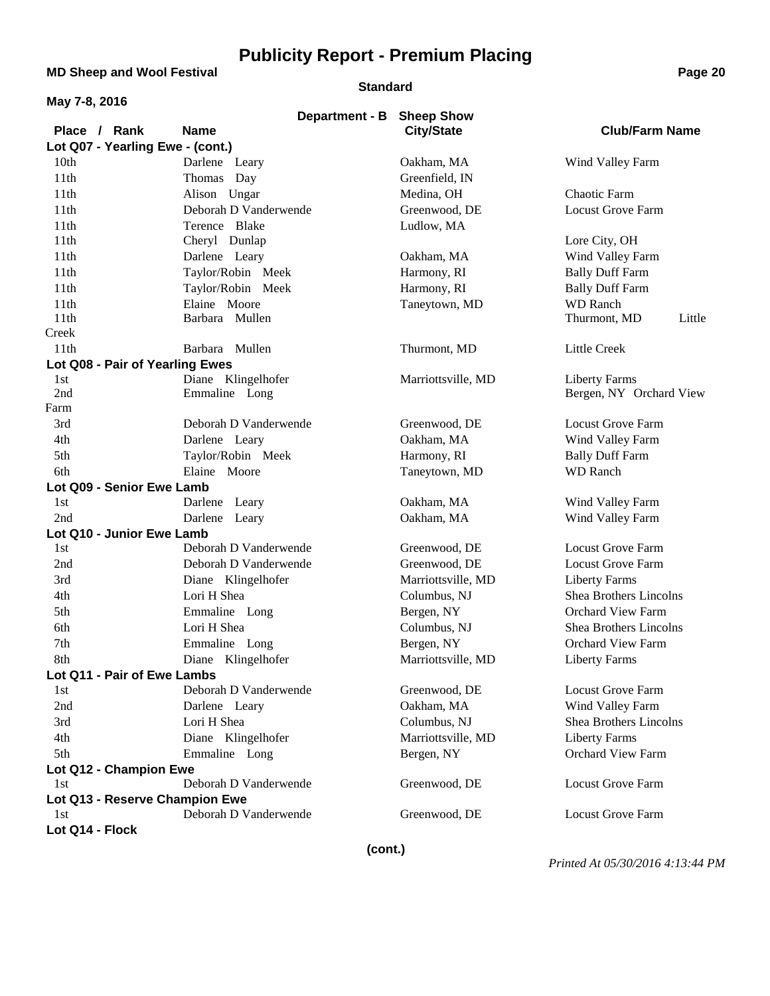### **MD Sheep and Wool Festival <b>Page 20**

#### **Standard**

|  |  | May 7-8, 2016 |
|--|--|---------------|
|--|--|---------------|

| 1114 Y I V, LV I V               | Department - B                      | <b>Sheep Show</b>  |                                                 |
|----------------------------------|-------------------------------------|--------------------|-------------------------------------------------|
| Place / Rank                     | <b>Name</b>                         | <b>City/State</b>  | <b>Club/Farm Name</b>                           |
| Lot Q07 - Yearling Ewe - (cont.) |                                     |                    |                                                 |
| 10th                             | Darlene Leary                       | Oakham, MA         | Wind Valley Farm                                |
| 11th                             | Thomas Day                          | Greenfield, IN     |                                                 |
| 11 <sup>th</sup>                 | Alison Ungar                        | Medina, OH         | Chaotic Farm                                    |
| 11th                             | Deborah D Vanderwende               | Greenwood, DE      | <b>Locust Grove Farm</b>                        |
| 11th                             | Terence Blake                       | Ludlow, MA         |                                                 |
| 11 <sup>th</sup>                 | Cheryl Dunlap                       |                    | Lore City, OH                                   |
| 11th                             | Darlene Leary                       | Oakham, MA         | Wind Valley Farm                                |
| 11th                             | Taylor/Robin Meek                   | Harmony, RI        | <b>Bally Duff Farm</b>                          |
| 11th                             | Taylor/Robin Meek                   | Harmony, RI        | <b>Bally Duff Farm</b>                          |
| 11 <sup>th</sup>                 | Elaine Moore                        | Taneytown, MD      | <b>WD</b> Ranch                                 |
| 11th                             | Barbara Mullen                      |                    | Thurmont, MD<br>Little                          |
| Creek                            |                                     |                    |                                                 |
| 11 <sup>th</sup>                 | Barbara Mullen                      | Thurmont, MD       | <b>Little Creek</b>                             |
| Lot Q08 - Pair of Yearling Ewes  |                                     |                    |                                                 |
| 1st<br>2nd                       | Diane Klingelhofer<br>Emmaline Long | Marriottsville, MD | <b>Liberty Farms</b><br>Bergen, NY Orchard View |
| Farm                             |                                     |                    |                                                 |
| 3rd                              | Deborah D Vanderwende               | Greenwood, DE      | <b>Locust Grove Farm</b>                        |
| 4th                              | Darlene Leary                       | Oakham, MA         | Wind Valley Farm                                |
| 5th                              | Taylor/Robin Meek                   | Harmony, RI        | <b>Bally Duff Farm</b>                          |
| 6th                              | Elaine Moore                        | Taneytown, MD      | <b>WD</b> Ranch                                 |
| Lot Q09 - Senior Ewe Lamb        |                                     |                    |                                                 |
| 1st                              | Darlene Leary                       | Oakham, MA         | Wind Valley Farm                                |
| 2nd                              | Darlene Leary                       | Oakham, MA         | Wind Valley Farm                                |
| Lot Q10 - Junior Ewe Lamb        |                                     |                    |                                                 |
| 1st                              | Deborah D Vanderwende               | Greenwood, DE      | <b>Locust Grove Farm</b>                        |
| 2nd                              | Deborah D Vanderwende               | Greenwood, DE      | <b>Locust Grove Farm</b>                        |
| 3rd                              | Diane Klingelhofer                  | Marriottsville, MD | <b>Liberty Farms</b>                            |
| 4th                              | Lori H Shea                         | Columbus, NJ       | Shea Brothers Lincolns                          |
| 5th                              | Emmaline Long                       | Bergen, NY         | <b>Orchard View Farm</b>                        |
| 6th                              | Lori H Shea                         | Columbus, NJ       | Shea Brothers Lincolns                          |
| 7th                              | Emmaline Long                       | Bergen, NY         | <b>Orchard View Farm</b>                        |
| 8th                              | Diane Klingelhofer                  | Marriottsville, MD | <b>Liberty Farms</b>                            |
| Lot Q11 - Pair of Ewe Lambs      |                                     |                    |                                                 |
| 1st                              | Deborah D Vanderwende               | Greenwood, DE      | <b>Locust Grove Farm</b>                        |
| 2nd                              | Darlene Leary                       | Oakham, MA         | Wind Valley Farm                                |
| 3rd                              | Lori H Shea                         | Columbus, NJ       | Shea Brothers Lincolns                          |
| 4th                              | Diane Klingelhofer                  | Marriottsville, MD | <b>Liberty Farms</b>                            |
| 5th                              | Emmaline Long                       | Bergen, NY         | Orchard View Farm                               |
| Lot Q12 - Champion Ewe           |                                     |                    |                                                 |
| 1st                              | Deborah D Vanderwende               | Greenwood, DE      | Locust Grove Farm                               |
| Lot Q13 - Reserve Champion Ewe   |                                     |                    |                                                 |
| 1st                              | Deborah D Vanderwende               | Greenwood, DE      | <b>Locust Grove Farm</b>                        |
| Lot Q14 - Flock                  |                                     |                    |                                                 |

**(cont.)**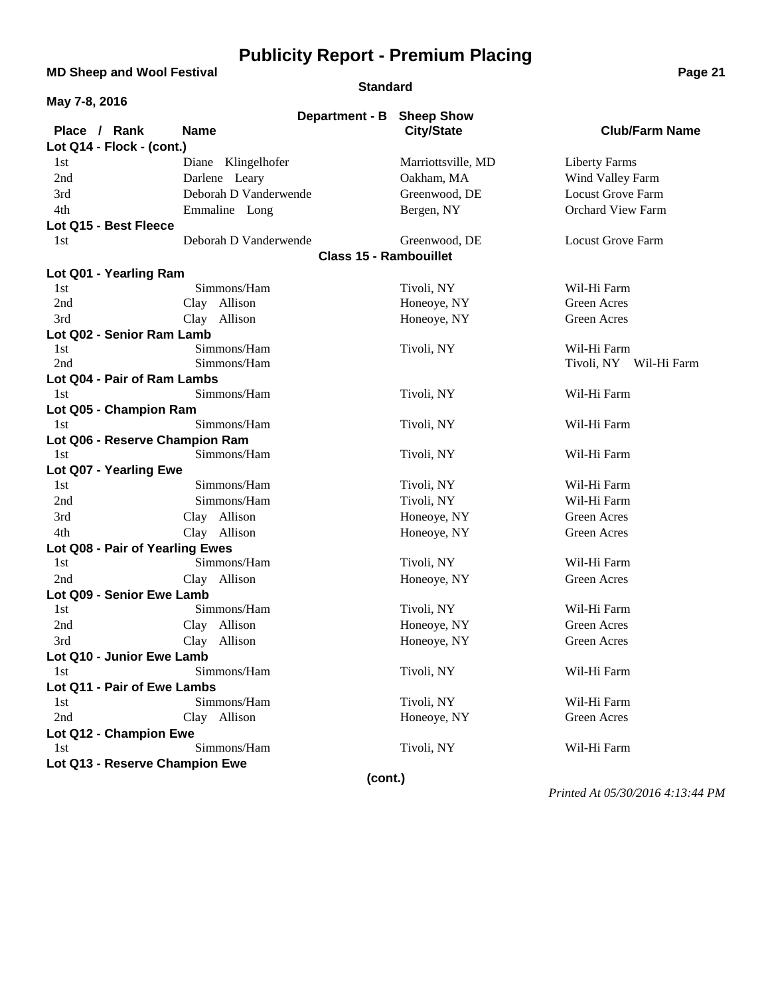**MD Sheep and Wool Festival <b>Page 21** 

**Standard**

| May 7-8, 2016 |                                 |                                |                               |                    |                          |
|---------------|---------------------------------|--------------------------------|-------------------------------|--------------------|--------------------------|
|               |                                 |                                | Department - B                | <b>Sheep Show</b>  |                          |
| Place / Rank  |                                 | <b>Name</b>                    |                               | <b>City/State</b>  | <b>Club/Farm Name</b>    |
|               | Lot Q14 - Flock - (cont.)       |                                |                               |                    |                          |
| 1st           |                                 | Diane Klingelhofer             |                               | Marriottsville, MD | <b>Liberty Farms</b>     |
| 2nd           |                                 | Darlene Leary                  |                               | Oakham, MA         | Wind Valley Farm         |
| 3rd           |                                 | Deborah D Vanderwende          |                               | Greenwood, DE      | Locust Grove Farm        |
| 4th           |                                 | Emmaline Long                  |                               | Bergen, NY         | <b>Orchard View Farm</b> |
|               | Lot Q15 - Best Fleece           |                                |                               |                    |                          |
| 1st           |                                 | Deborah D Vanderwende          |                               | Greenwood, DE      | <b>Locust Grove Farm</b> |
|               |                                 |                                | <b>Class 15 - Rambouillet</b> |                    |                          |
|               | Lot Q01 - Yearling Ram          |                                |                               |                    |                          |
| 1st           |                                 | Simmons/Ham                    |                               | Tivoli, NY         | Wil-Hi Farm              |
| 2nd           |                                 | Clay Allison                   |                               | Honeoye, NY        | Green Acres              |
| 3rd           |                                 | Clay Allison                   |                               | Honeoye, NY        | Green Acres              |
|               | Lot Q02 - Senior Ram Lamb       |                                |                               |                    |                          |
| 1st           |                                 | Simmons/Ham                    |                               | Tivoli, NY         | Wil-Hi Farm              |
| 2nd           |                                 | Simmons/Ham                    |                               |                    | Tivoli, NY Wil-Hi Farm   |
|               | Lot Q04 - Pair of Ram Lambs     |                                |                               |                    |                          |
| 1st           |                                 | Simmons/Ham                    |                               | Tivoli, NY         | Wil-Hi Farm              |
|               | Lot Q05 - Champion Ram          |                                |                               |                    |                          |
| 1st           |                                 | Simmons/Ham                    |                               | Tivoli, NY         | Wil-Hi Farm              |
|               |                                 | Lot Q06 - Reserve Champion Ram |                               |                    |                          |
| 1st           |                                 | Simmons/Ham                    |                               | Tivoli, NY         | Wil-Hi Farm              |
|               | Lot Q07 - Yearling Ewe          |                                |                               |                    |                          |
| 1st           |                                 | Simmons/Ham                    |                               | Tivoli, NY         | Wil-Hi Farm              |
| 2nd           |                                 | Simmons/Ham                    |                               | Tivoli, NY         | Wil-Hi Farm              |
| 3rd           |                                 | Clay Allison                   |                               | Honeoye, NY        | Green Acres              |
| 4th           |                                 | Clay Allison                   |                               | Honeoye, NY        | Green Acres              |
|               | Lot Q08 - Pair of Yearling Ewes |                                |                               |                    |                          |
| 1st           |                                 | Simmons/Ham                    |                               | Tivoli, NY         | Wil-Hi Farm              |
| 2nd           |                                 | Clay Allison                   |                               | Honeoye, NY        | Green Acres              |
|               | Lot Q09 - Senior Ewe Lamb       |                                |                               |                    |                          |
| 1st           |                                 | Simmons/Ham                    |                               | Tivoli, NY         | Wil-Hi Farm              |
| 2nd           |                                 | Clay Allison                   |                               | Honeoye, NY        | <b>Green Acres</b>       |
| 3rd           |                                 | Clay Allison                   |                               | Honeoye, NY        | Green Acres              |
|               | Lot Q10 - Junior Ewe Lamb       |                                |                               |                    |                          |
| 1st           |                                 | Simmons/Ham                    |                               | Tivoli, NY         | Wil-Hi Farm              |
|               | Lot Q11 - Pair of Ewe Lambs     |                                |                               |                    |                          |
| 1st           |                                 | Simmons/Ham                    |                               | Tivoli, NY         | Wil-Hi Farm              |
| 2nd           |                                 | Clay Allison                   |                               | Honeoye, NY        | Green Acres              |
|               | Lot Q12 - Champion Ewe          |                                |                               |                    |                          |
| 1st           |                                 | Simmons/Ham                    |                               | Tivoli, NY         | Wil-Hi Farm              |
|               |                                 | Lot Q13 - Reserve Champion Ewe |                               |                    |                          |
|               |                                 |                                | (cont.)                       |                    |                          |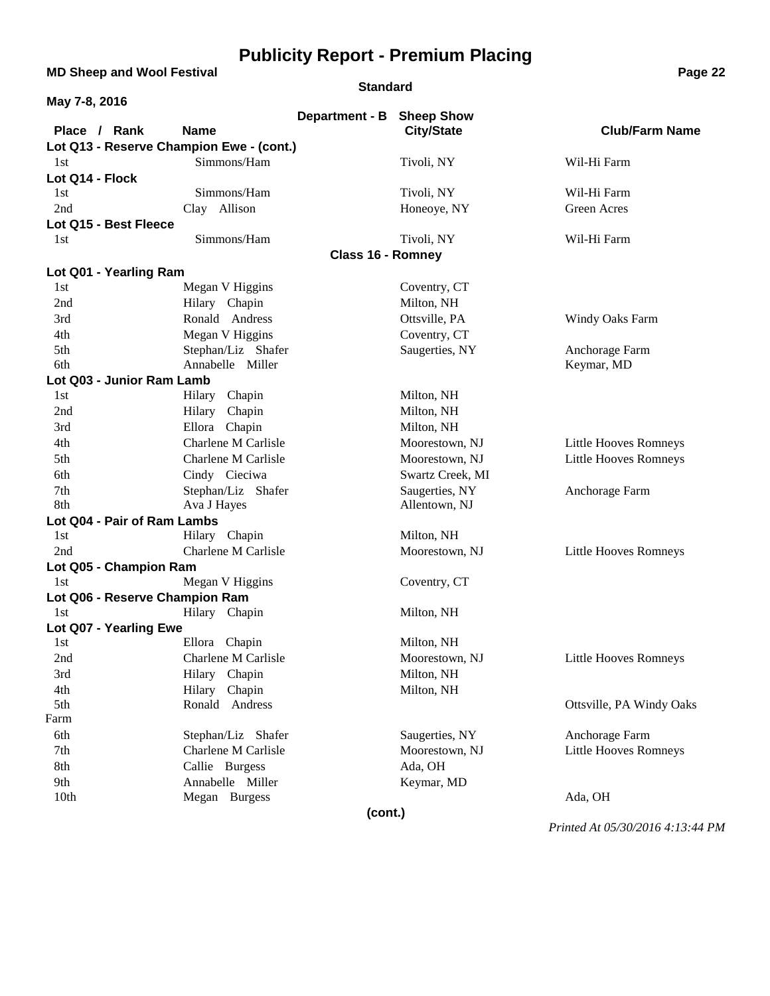**MD Sheep and Wool Festival <b>Page 22 Page 22** 

#### **Standard**

| May 7-8, 2016                            |                                |                                                |                              |
|------------------------------------------|--------------------------------|------------------------------------------------|------------------------------|
| Place / Rank                             | <b>Name</b>                    | Department - B Sheep Show<br><b>City/State</b> | <b>Club/Farm Name</b>        |
| Lot Q13 - Reserve Champion Ewe - (cont.) |                                |                                                |                              |
| 1st                                      | Simmons/Ham                    | Tivoli, NY                                     | Wil-Hi Farm                  |
| Lot Q14 - Flock                          |                                |                                                |                              |
| 1st                                      | Simmons/Ham                    | Tivoli, NY                                     | Wil-Hi Farm                  |
| 2nd                                      | Clay Allison                   | Honeoye, NY                                    | Green Acres                  |
| Lot Q15 - Best Fleece                    |                                |                                                |                              |
| 1st                                      | Simmons/Ham                    | Tivoli, NY                                     | Wil-Hi Farm                  |
|                                          |                                | <b>Class 16 - Romney</b>                       |                              |
| Lot Q01 - Yearling Ram                   |                                |                                                |                              |
| 1st                                      | Megan V Higgins                | Coventry, CT                                   |                              |
| 2nd                                      | Hilary Chapin                  | Milton, NH                                     |                              |
| 3rd                                      | Ronald Andress                 | Ottsville, PA                                  | Windy Oaks Farm              |
| 4th                                      | Megan V Higgins                | Coventry, CT                                   |                              |
| 5th                                      | Stephan/Liz Shafer             | Saugerties, NY                                 | Anchorage Farm               |
| 6th                                      | Annabelle Miller               |                                                | Keymar, MD                   |
| Lot Q03 - Junior Ram Lamb                |                                |                                                |                              |
| 1st                                      | Hilary Chapin                  | Milton, NH                                     |                              |
| 2nd                                      | Hilary Chapin                  | Milton, NH                                     |                              |
| 3rd                                      | Ellora Chapin                  | Milton, NH                                     |                              |
| 4th                                      | Charlene M Carlisle            | Moorestown, NJ                                 | <b>Little Hooves Romneys</b> |
| 5th                                      | Charlene M Carlisle            | Moorestown, NJ                                 | <b>Little Hooves Romneys</b> |
| 6th                                      | Cindy Cieciwa                  | Swartz Creek, MI                               |                              |
| 7th                                      | Stephan/Liz Shafer             | Saugerties, NY                                 | Anchorage Farm               |
| 8th                                      | Ava J Hayes                    | Allentown, NJ                                  |                              |
| Lot Q04 - Pair of Ram Lambs              |                                |                                                |                              |
| 1st                                      | Hilary Chapin                  | Milton, NH                                     |                              |
| 2nd                                      | Charlene M Carlisle            | Moorestown, NJ                                 | Little Hooves Romneys        |
| Lot Q05 - Champion Ram                   |                                |                                                |                              |
| 1st                                      | Megan V Higgins                | Coventry, CT                                   |                              |
| Lot Q06 - Reserve Champion Ram           |                                |                                                |                              |
| 1st                                      | Hilary Chapin                  | Milton, NH                                     |                              |
| Lot Q07 - Yearling Ewe                   |                                |                                                |                              |
| 1st                                      | Ellora Chapin                  | Milton, NH                                     |                              |
| 2nd                                      | Charlene M Carlisle            | Moorestown, NJ                                 | <b>Little Hooves Romneys</b> |
| 3rd                                      | Hilary Chapin<br>Hilary Chapin | Milton, NH                                     |                              |
| 4th<br>5th                               | Ronald Andress                 | Milton, NH                                     | Ottsville, PA Windy Oaks     |
| Farm                                     |                                |                                                |                              |
| 6th                                      | Stephan/Liz Shafer             | Saugerties, NY                                 | Anchorage Farm               |
| 7th                                      | Charlene M Carlisle            | Moorestown, NJ                                 | Little Hooves Romneys        |
| 8th                                      | Callie Burgess                 | Ada, OH                                        |                              |
| 9th                                      | Annabelle Miller               | Keymar, MD                                     |                              |
| 10th                                     | Megan Burgess                  |                                                | Ada, OH                      |
|                                          |                                | (cont.)                                        |                              |
|                                          |                                |                                                |                              |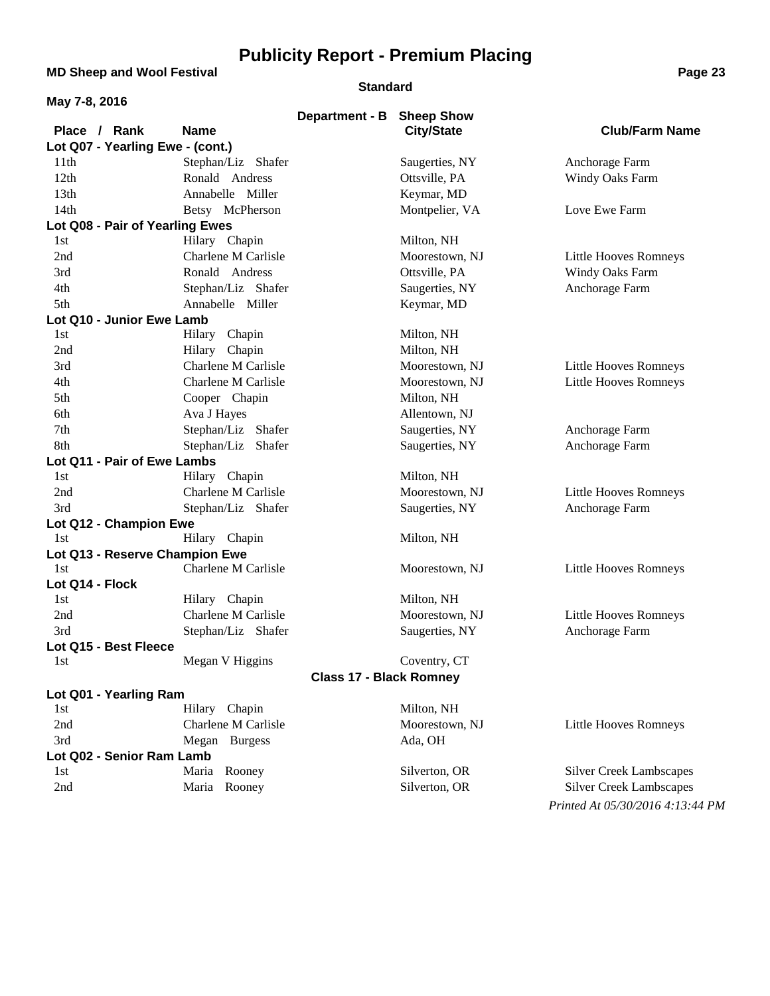**MD Sheep and Wool Festival <b>Page 23** 

#### **Standard**

| May 7-8, 2016                    |                     |                                |                   |                                |
|----------------------------------|---------------------|--------------------------------|-------------------|--------------------------------|
|                                  |                     | Department - B                 | <b>Sheep Show</b> |                                |
| Place / Rank                     | <b>Name</b>         |                                | <b>City/State</b> | <b>Club/Farm Name</b>          |
| Lot Q07 - Yearling Ewe - (cont.) |                     |                                |                   |                                |
| 11th                             | Stephan/Liz Shafer  |                                | Saugerties, NY    | Anchorage Farm                 |
| 12th                             | Ronald Andress      |                                | Ottsville, PA     | Windy Oaks Farm                |
| 13th                             | Annabelle Miller    |                                | Keymar, MD        |                                |
| 14th                             | Betsy McPherson     |                                | Montpelier, VA    | Love Ewe Farm                  |
| Lot Q08 - Pair of Yearling Ewes  |                     |                                |                   |                                |
| 1st                              | Hilary Chapin       |                                | Milton, NH        |                                |
| 2nd                              | Charlene M Carlisle |                                | Moorestown, NJ    | Little Hooves Romneys          |
| 3rd                              | Ronald Andress      |                                | Ottsville, PA     | Windy Oaks Farm                |
| 4th                              | Stephan/Liz Shafer  |                                | Saugerties, NY    | Anchorage Farm                 |
| 5th                              | Annabelle Miller    |                                | Keymar, MD        |                                |
| Lot Q10 - Junior Ewe Lamb        |                     |                                |                   |                                |
| 1st                              | Hilary Chapin       |                                | Milton, NH        |                                |
| 2nd                              | Hilary Chapin       |                                | Milton, NH        |                                |
| 3rd                              | Charlene M Carlisle |                                | Moorestown, NJ    | Little Hooves Romneys          |
| 4th                              | Charlene M Carlisle |                                | Moorestown, NJ    | Little Hooves Romneys          |
| 5th                              | Cooper Chapin       |                                | Milton, NH        |                                |
| 6th                              | Ava J Hayes         |                                | Allentown, NJ     |                                |
| 7th                              | Stephan/Liz Shafer  |                                | Saugerties, NY    | Anchorage Farm                 |
| 8th                              | Stephan/Liz Shafer  |                                | Saugerties, NY    | Anchorage Farm                 |
| Lot Q11 - Pair of Ewe Lambs      |                     |                                |                   |                                |
| 1st                              | Hilary Chapin       |                                | Milton, NH        |                                |
| 2nd                              | Charlene M Carlisle |                                | Moorestown, NJ    | Little Hooves Romneys          |
| 3rd                              | Stephan/Liz Shafer  |                                | Saugerties, NY    | Anchorage Farm                 |
| Lot Q12 - Champion Ewe           |                     |                                |                   |                                |
| 1st                              | Hilary Chapin       |                                | Milton, NH        |                                |
| Lot Q13 - Reserve Champion Ewe   |                     |                                |                   |                                |
| 1st                              | Charlene M Carlisle |                                | Moorestown, NJ    | Little Hooves Romneys          |
| Lot Q14 - Flock                  |                     |                                |                   |                                |
| 1st                              | Hilary Chapin       |                                | Milton, NH        |                                |
| 2nd                              | Charlene M Carlisle |                                | Moorestown, NJ    | Little Hooves Romneys          |
| 3rd                              | Stephan/Liz Shafer  |                                | Saugerties, NY    | Anchorage Farm                 |
| Lot Q15 - Best Fleece            |                     |                                |                   |                                |
| 1st                              | Megan V Higgins     |                                | Coventry, CT      |                                |
|                                  |                     | <b>Class 17 - Black Romney</b> |                   |                                |
| Lot Q01 - Yearling Ram           |                     |                                |                   |                                |
| 1st                              | Hilary Chapin       |                                | Milton, NH        |                                |
| 2nd                              | Charlene M Carlisle |                                | Moorestown, NJ    | <b>Little Hooves Romneys</b>   |
| 3rd                              | Megan Burgess       |                                | Ada, OH           |                                |
| Lot Q02 - Senior Ram Lamb        |                     |                                |                   |                                |
| 1st                              | Maria Rooney        |                                | Silverton, OR     | <b>Silver Creek Lambscapes</b> |

2nd Maria Rooney Silverton, OR Silver Creek Lambscapes *Printed At 05/30/2016 4:13:44 PM*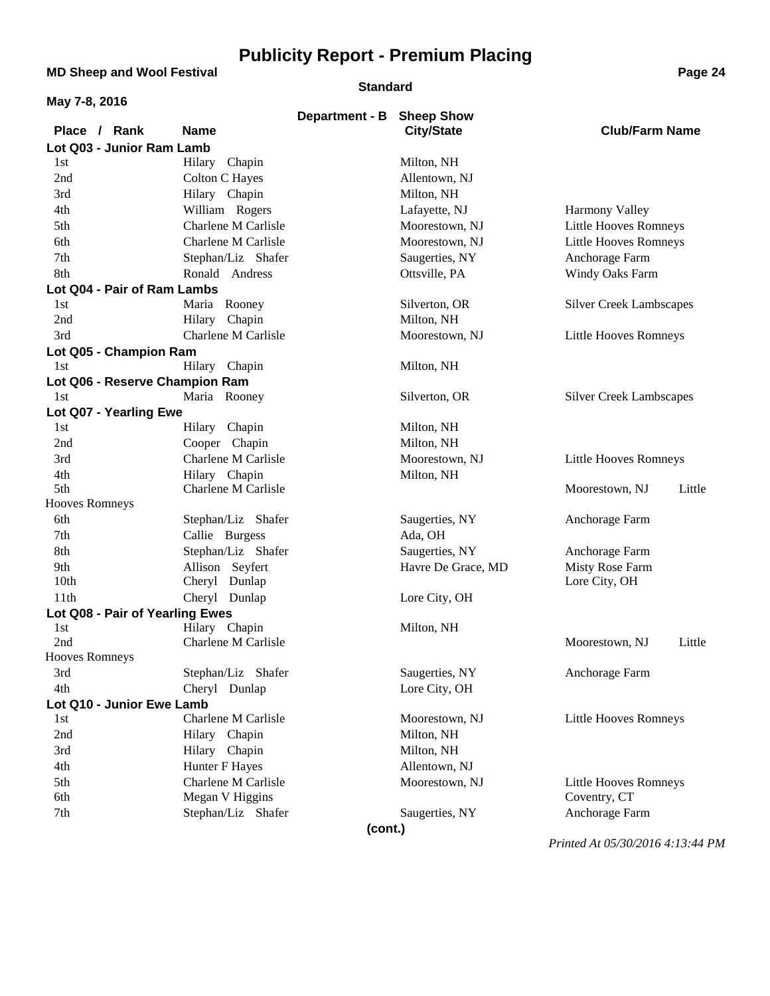**MD Sheep and Wool Festival <b>Page 24 Page 24** 

#### **Standard**

| May 7-8, 2016                   |                                      |                           |                                 |                                                |  |
|---------------------------------|--------------------------------------|---------------------------|---------------------------------|------------------------------------------------|--|
|                                 |                                      | Department - B Sheep Show |                                 |                                                |  |
| Place / Rank                    | <b>Name</b>                          |                           | <b>City/State</b>               | <b>Club/Farm Name</b>                          |  |
| Lot Q03 - Junior Ram Lamb       |                                      |                           |                                 |                                                |  |
| 1st<br>2nd                      | Hilary Chapin<br>Colton C Hayes      |                           | Milton, NH                      |                                                |  |
|                                 |                                      |                           | Allentown, NJ                   |                                                |  |
| 3rd<br>4th                      | Hilary Chapin<br>William Rogers      |                           | Milton, NH                      |                                                |  |
| 5th                             | Charlene M Carlisle                  |                           | Lafayette, NJ<br>Moorestown, NJ | Harmony Valley<br><b>Little Hooves Romneys</b> |  |
|                                 | Charlene M Carlisle                  |                           | Moorestown, NJ                  |                                                |  |
| 6th<br>7th                      | Stephan/Liz Shafer                   |                           |                                 | <b>Little Hooves Romneys</b>                   |  |
| 8th                             | Ronald Andress                       |                           | Saugerties, NY<br>Ottsville, PA | Anchorage Farm                                 |  |
| Lot Q04 - Pair of Ram Lambs     |                                      |                           |                                 | Windy Oaks Farm                                |  |
| 1st                             | Maria Rooney                         |                           | Silverton, OR                   | <b>Silver Creek Lambscapes</b>                 |  |
| 2nd                             | Hilary Chapin                        |                           | Milton, NH                      |                                                |  |
| 3rd                             | Charlene M Carlisle                  |                           | Moorestown, NJ                  | Little Hooves Romneys                          |  |
| Lot Q05 - Champion Ram          |                                      |                           |                                 |                                                |  |
| 1st                             | Hilary Chapin                        |                           | Milton, NH                      |                                                |  |
| Lot Q06 - Reserve Champion Ram  |                                      |                           |                                 |                                                |  |
| 1st                             | Maria Rooney                         |                           | Silverton, OR                   | <b>Silver Creek Lambscapes</b>                 |  |
| Lot Q07 - Yearling Ewe          |                                      |                           |                                 |                                                |  |
| 1st                             | Hilary Chapin                        |                           | Milton, NH                      |                                                |  |
| 2nd                             | Cooper Chapin                        |                           | Milton, NH                      |                                                |  |
| 3rd                             | Charlene M Carlisle                  |                           | Moorestown, NJ                  | Little Hooves Romneys                          |  |
| 4th                             | Hilary Chapin                        |                           | Milton, NH                      |                                                |  |
| 5th                             | Charlene M Carlisle                  |                           |                                 | Moorestown, NJ<br>Little                       |  |
| <b>Hooves Romneys</b>           |                                      |                           |                                 |                                                |  |
| 6th                             | Stephan/Liz Shafer                   |                           | Saugerties, NY                  | Anchorage Farm                                 |  |
| 7th                             | Callie Burgess                       |                           | Ada, OH                         |                                                |  |
| 8th                             | Stephan/Liz Shafer                   |                           | Saugerties, NY                  | Anchorage Farm                                 |  |
| 9th                             | Allison Seyfert                      |                           | Havre De Grace, MD              | Misty Rose Farm                                |  |
| 10th                            | Cheryl Dunlap                        |                           |                                 | Lore City, OH                                  |  |
| 11th                            | Cheryl Dunlap                        |                           | Lore City, OH                   |                                                |  |
| Lot Q08 - Pair of Yearling Ewes |                                      |                           |                                 |                                                |  |
| 1st<br>2nd                      | Hilary Chapin<br>Charlene M Carlisle |                           | Milton, NH                      | Moorestown, NJ<br>Little                       |  |
| <b>Hooves Romneys</b>           |                                      |                           |                                 |                                                |  |
| 3rd                             | Stephan/Liz Shafer                   |                           | Saugerties, NY                  | Anchorage Farm                                 |  |
| 4th                             | Cheryl Dunlap                        |                           | Lore City, OH                   |                                                |  |
| Lot Q10 - Junior Ewe Lamb       |                                      |                           |                                 |                                                |  |
| 1st                             | Charlene M Carlisle                  |                           | Moorestown, NJ                  | Little Hooves Romneys                          |  |
| 2nd                             | Hilary Chapin                        |                           | Milton, NH                      |                                                |  |
| 3rd                             | Hilary Chapin                        |                           | Milton, NH                      |                                                |  |
| 4th                             | Hunter F Hayes                       |                           | Allentown, NJ                   |                                                |  |
| 5th                             | Charlene M Carlisle                  |                           | Moorestown, NJ                  | Little Hooves Romneys                          |  |
| 6th                             | Megan V Higgins                      |                           |                                 | Coventry, CT                                   |  |
| 7th                             | Stephan/Liz Shafer                   |                           | Saugerties, NY                  | Anchorage Farm                                 |  |
|                                 |                                      | (cont.)                   |                                 |                                                |  |
|                                 |                                      |                           |                                 |                                                |  |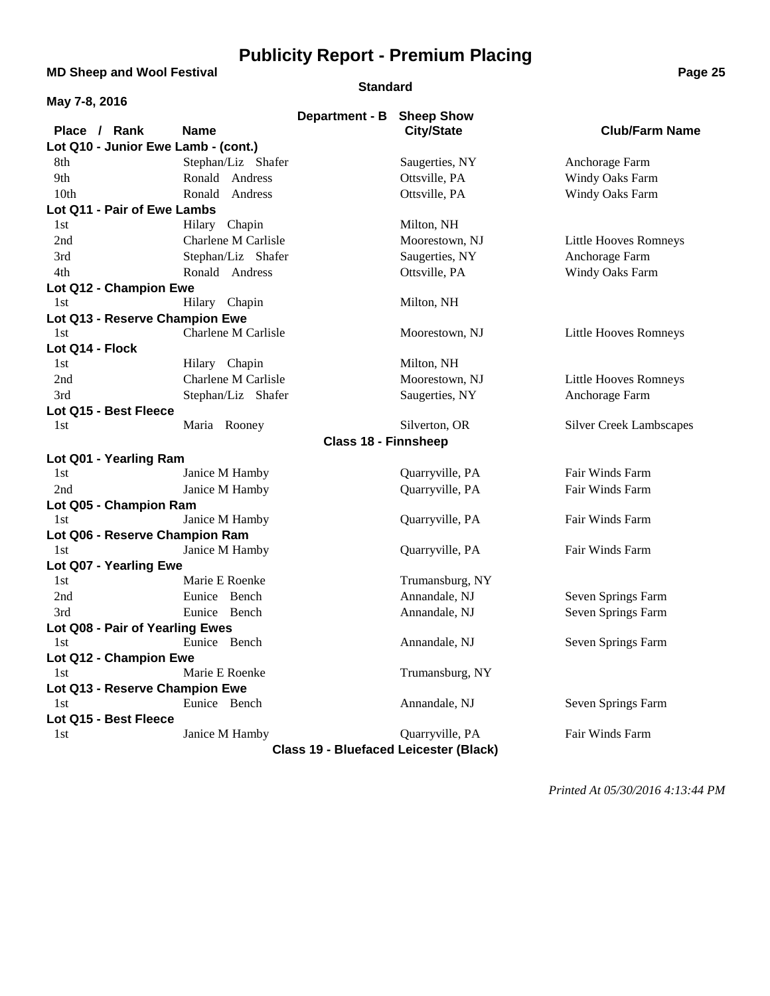**MD Sheep and Wool Festival <b>Page 25 Page 25** 

#### **Standard**

| May 7-8, 2016                                 |                     |                             |                                        |                                |
|-----------------------------------------------|---------------------|-----------------------------|----------------------------------------|--------------------------------|
| Place / Rank                                  | <b>Name</b>         | Department - B              | <b>Sheep Show</b><br><b>City/State</b> | <b>Club/Farm Name</b>          |
| Lot Q10 - Junior Ewe Lamb - (cont.)           |                     |                             |                                        |                                |
| 8th                                           | Stephan/Liz Shafer  |                             | Saugerties, NY                         | Anchorage Farm                 |
| 9th                                           | Ronald Andress      |                             | Ottsville, PA                          | Windy Oaks Farm                |
| 10th                                          | Ronald Andress      |                             | Ottsville, PA                          | Windy Oaks Farm                |
| Lot Q11 - Pair of Ewe Lambs                   |                     |                             |                                        |                                |
| 1st                                           | Hilary Chapin       |                             | Milton, NH                             |                                |
| 2nd                                           | Charlene M Carlisle |                             | Moorestown, NJ                         | <b>Little Hooves Romneys</b>   |
| 3rd                                           | Stephan/Liz Shafer  |                             | Saugerties, NY                         | Anchorage Farm                 |
| 4th                                           | Ronald Andress      |                             | Ottsville, PA                          | Windy Oaks Farm                |
| Lot Q12 - Champion Ewe                        |                     |                             |                                        |                                |
| 1st                                           | Hilary Chapin       |                             | Milton, NH                             |                                |
| Lot Q13 - Reserve Champion Ewe                |                     |                             |                                        |                                |
| 1st                                           | Charlene M Carlisle |                             | Moorestown, NJ                         | <b>Little Hooves Romneys</b>   |
| Lot Q14 - Flock                               |                     |                             |                                        |                                |
| 1st                                           | Hilary Chapin       |                             | Milton, NH                             |                                |
| 2nd                                           | Charlene M Carlisle |                             | Moorestown, NJ                         | Little Hooves Romneys          |
| 3rd                                           | Stephan/Liz Shafer  |                             | Saugerties, NY                         | Anchorage Farm                 |
| Lot Q15 - Best Fleece                         |                     |                             |                                        |                                |
| 1st                                           | Maria Rooney        |                             | Silverton, OR                          | <b>Silver Creek Lambscapes</b> |
|                                               |                     | <b>Class 18 - Finnsheep</b> |                                        |                                |
| Lot Q01 - Yearling Ram                        |                     |                             |                                        |                                |
| 1st                                           | Janice M Hamby      |                             | Quarryville, PA                        | Fair Winds Farm                |
| 2nd                                           | Janice M Hamby      |                             | Quarryville, PA                        | Fair Winds Farm                |
| Lot Q05 - Champion Ram                        |                     |                             |                                        |                                |
| 1st                                           | Janice M Hamby      |                             | Quarryville, PA                        | Fair Winds Farm                |
| Lot Q06 - Reserve Champion Ram                |                     |                             |                                        |                                |
| 1st                                           | Janice M Hamby      |                             | Quarryville, PA                        | Fair Winds Farm                |
| Lot Q07 - Yearling Ewe                        |                     |                             |                                        |                                |
| 1st                                           | Marie E Roenke      |                             | Trumansburg, NY                        |                                |
| 2nd                                           | Eunice Bench        |                             | Annandale, NJ                          | Seven Springs Farm             |
| 3rd                                           | Eunice Bench        |                             | Annandale, NJ                          | Seven Springs Farm             |
| Lot Q08 - Pair of Yearling Ewes               |                     |                             |                                        |                                |
| 1st                                           | Eunice Bench        |                             | Annandale, NJ                          | Seven Springs Farm             |
| Lot Q12 - Champion Ewe                        |                     |                             |                                        |                                |
| 1st                                           | Marie E Roenke      |                             | Trumansburg, NY                        |                                |
| Lot Q13 - Reserve Champion Ewe                |                     |                             |                                        |                                |
| 1st                                           | Eunice Bench        |                             | Annandale, NJ                          | Seven Springs Farm             |
| Lot Q15 - Best Fleece                         |                     |                             |                                        |                                |
| 1st                                           | Janice M Hamby      |                             | Quarryville, PA                        | Fair Winds Farm                |
| <b>Class 19 - Bluefaced Leicester (Black)</b> |                     |                             |                                        |                                |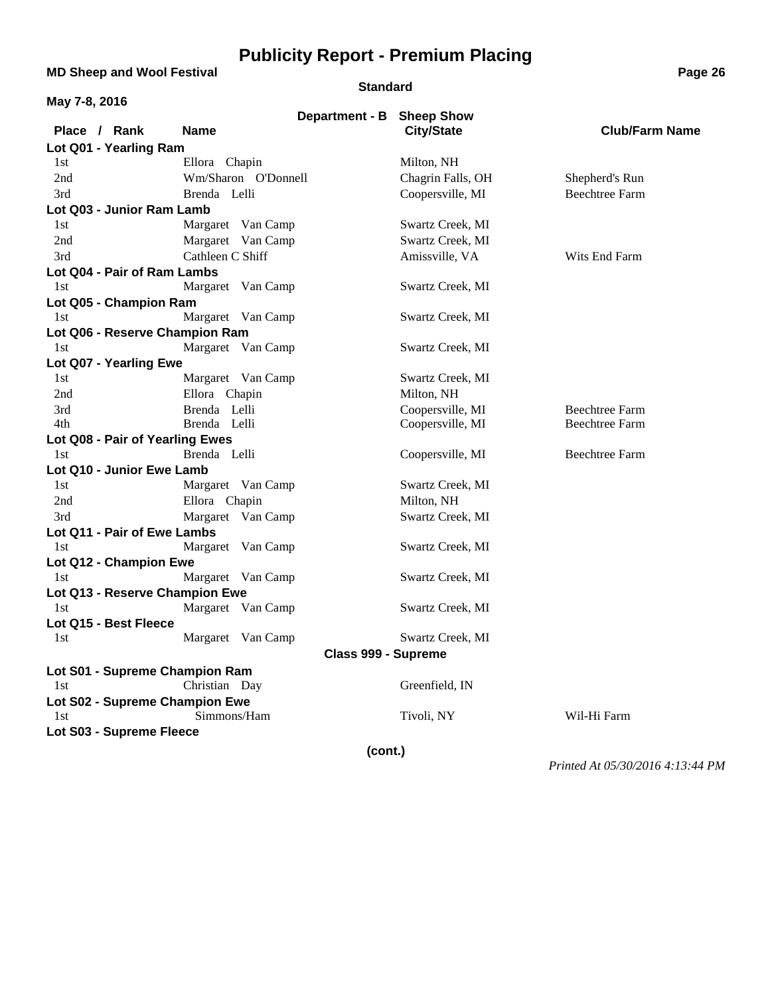**MD Sheep and Wool Festival <b>Page 26 Page 26 Page 26** 

#### **Standard**

| May 7-8, 2016                   |                     |                     |                                                |                       |
|---------------------------------|---------------------|---------------------|------------------------------------------------|-----------------------|
| Place / Rank                    | <b>Name</b>         |                     | Department - B Sheep Show<br><b>City/State</b> | <b>Club/Farm Name</b> |
| Lot Q01 - Yearling Ram          |                     |                     |                                                |                       |
| 1st                             | Ellora Chapin       |                     | Milton, NH                                     |                       |
| 2nd                             | Wm/Sharon O'Donnell |                     | Chagrin Falls, OH                              | Shepherd's Run        |
| 3rd                             | Brenda Lelli        |                     | Coopersville, MI                               | <b>Beechtree Farm</b> |
| Lot Q03 - Junior Ram Lamb       |                     |                     |                                                |                       |
| 1st                             | Margaret Van Camp   |                     | Swartz Creek, MI                               |                       |
| 2nd                             | Margaret Van Camp   |                     | Swartz Creek, MI                               |                       |
| 3rd                             | Cathleen C Shiff    |                     | Amissville, VA                                 | Wits End Farm         |
| Lot Q04 - Pair of Ram Lambs     |                     |                     |                                                |                       |
| 1st                             | Margaret Van Camp   |                     | Swartz Creek, MI                               |                       |
| Lot Q05 - Champion Ram          |                     |                     |                                                |                       |
| 1st                             | Margaret Van Camp   |                     | Swartz Creek, MI                               |                       |
| Lot Q06 - Reserve Champion Ram  |                     |                     |                                                |                       |
| 1st                             | Margaret Van Camp   |                     | Swartz Creek, MI                               |                       |
| Lot Q07 - Yearling Ewe          |                     |                     |                                                |                       |
| 1st                             | Margaret Van Camp   |                     | Swartz Creek, MI                               |                       |
| 2nd                             | Ellora Chapin       |                     | Milton, NH                                     |                       |
| 3rd                             | Brenda Lelli        |                     | Coopersville, MI                               | <b>Beechtree Farm</b> |
| 4th                             | Brenda Lelli        |                     | Coopersville, MI                               | <b>Beechtree Farm</b> |
| Lot Q08 - Pair of Yearling Ewes |                     |                     |                                                |                       |
| 1st                             | Brenda Lelli        |                     | Coopersville, MI                               | <b>Beechtree Farm</b> |
| Lot Q10 - Junior Ewe Lamb       |                     |                     |                                                |                       |
| 1st                             | Margaret Van Camp   |                     | Swartz Creek, MI                               |                       |
| 2nd                             | Ellora Chapin       |                     | Milton, NH                                     |                       |
| 3rd                             | Margaret Van Camp   |                     | Swartz Creek, MI                               |                       |
| Lot Q11 - Pair of Ewe Lambs     |                     |                     |                                                |                       |
| 1st                             | Margaret Van Camp   |                     | Swartz Creek, MI                               |                       |
| Lot Q12 - Champion Ewe          |                     |                     |                                                |                       |
| 1st                             | Margaret Van Camp   |                     | Swartz Creek, MI                               |                       |
| Lot Q13 - Reserve Champion Ewe  |                     |                     |                                                |                       |
| 1st                             | Margaret Van Camp   |                     | Swartz Creek, MI                               |                       |
| Lot Q15 - Best Fleece           |                     |                     |                                                |                       |
| 1st                             | Margaret Van Camp   |                     | Swartz Creek, MI                               |                       |
|                                 |                     | Class 999 - Supreme |                                                |                       |
| Lot S01 - Supreme Champion Ram  |                     |                     |                                                |                       |
| 1st                             | Christian Day       |                     | Greenfield, IN                                 |                       |
| Lot S02 - Supreme Champion Ewe  |                     |                     |                                                |                       |
| 1st                             | Simmons/Ham         |                     | Tivoli, NY                                     | Wil-Hi Farm           |
| Lot S03 - Supreme Fleece        |                     |                     |                                                |                       |
| (cont.)                         |                     |                     |                                                |                       |
|                                 |                     |                     |                                                |                       |